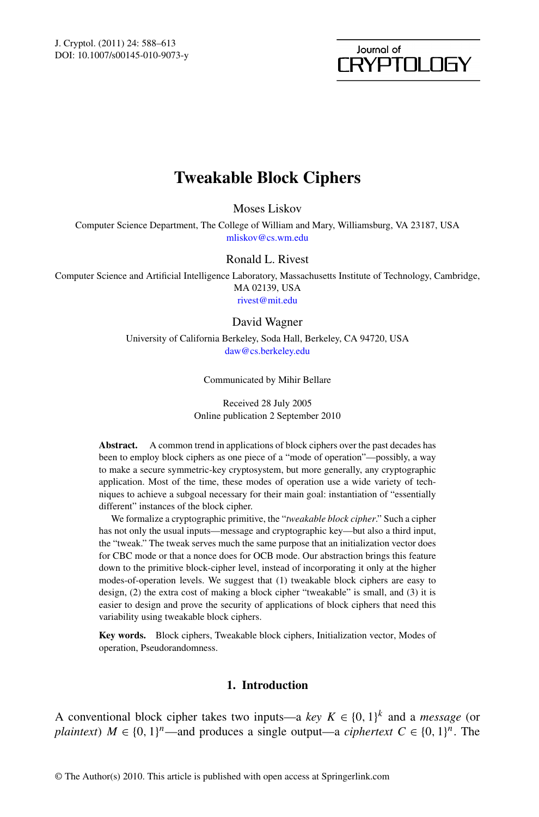# Journal of **RYPTOLOGY**

# **Tweakable Block Ciphers**

Moses Liskov

Computer Science Department, The College of William and Mary, Williamsburg, VA 23187, USA [mliskov@cs.wm.edu](mailto:mliskov@cs.wm.edu)

Ronald L. Rivest

Computer Science and Artificial Intelligence Laboratory, Massachusetts Institute of Technology, Cambridge, MA 02139, USA [rivest@mit.edu](mailto:rivest@mit.edu)

## David Wagner

University of California Berkeley, Soda Hall, Berkeley, CA 94720, USA [daw@cs.berkeley.edu](mailto:daw@cs.berkeley.edu)

Communicated by Mihir Bellare

Received 28 July 2005 Online publication 2 September 2010

**Abstract.** A common trend in applications of block ciphers over the past decades has been to employ block ciphers as one piece of a "mode of operation"—possibly, a way to make a secure symmetric-key cryptosystem, but more generally, any cryptographic application. Most of the time, these modes of operation use a wide variety of techniques to achieve a subgoal necessary for their main goal: instantiation of "essentially different" instances of the block cipher.

We formalize a cryptographic primitive, the "*tweakable block cipher*." Such a cipher has not only the usual inputs—message and cryptographic key—but also a third input, the "tweak." The tweak serves much the same purpose that an initialization vector does for CBC mode or that a nonce does for OCB mode. Our abstraction brings this feature down to the primitive block-cipher level, instead of incorporating it only at the higher modes-of-operation levels. We suggest that (1) tweakable block ciphers are easy to design, (2) the extra cost of making a block cipher "tweakable" is small, and (3) it is easier to design and prove the security of applications of block ciphers that need this variability using tweakable block ciphers.

**Key words.** Block ciphers, Tweakable block ciphers, Initialization vector, Modes of operation, Pseudorandomness.

# **1. Introduction**

A conventional block cipher takes two inputs—a *key*  $K \in \{0, 1\}^k$  and a *message* (or *plaintext*)  $M \in \{0, 1\}^n$ —and produces a single output—a *ciphertext*  $C \in \{0, 1\}^n$ . The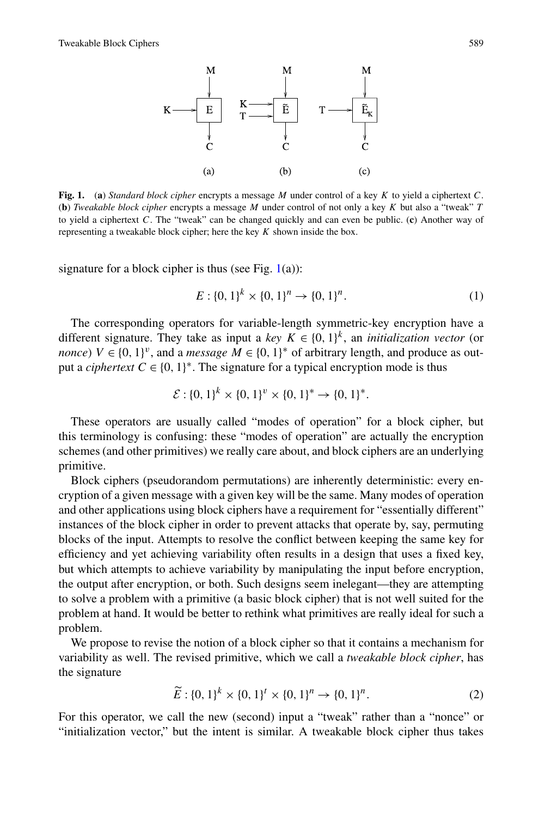

<span id="page-1-0"></span>**Fig. 1.** (**a**) *Standard block cipher* encrypts a message *M* under control of a key *K* to yield a ciphertext *C*. (**b**) *Tweakable block cipher* encrypts a message *M* under control of not only a key *K* but also a "tweak" *T* to yield a ciphertext *C*. The "tweak" can be changed quickly and can even be public. (**c**) Another way of representing a tweakable block cipher; here the key *K* shown inside the box.

signature for a block cipher is thus (see Fig.  $1(a)$  $1(a)$ ):

<span id="page-1-1"></span>
$$
E: \{0, 1\}^k \times \{0, 1\}^n \to \{0, 1\}^n. \tag{1}
$$

The corresponding operators for variable-length symmetric-key encryption have a different signature. They take as input a *key*  $K \in \{0, 1\}^k$ , an *initialization vector* (or *nonce*)  $V \in \{0, 1\}^v$ , and a *message*  $M \in \{0, 1\}^*$  of arbitrary length, and produce as output a *ciphertext*  $C \in \{0, 1\}^*$ . The signature for a typical encryption mode is thus

$$
\mathcal{E}: \{0,1\}^k \times \{0,1\}^v \times \{0,1\}^* \to \{0,1\}^*.
$$

These operators are usually called "modes of operation" for a block cipher, but this terminology is confusing: these "modes of operation" are actually the encryption schemes (and other primitives) we really care about, and block ciphers are an underlying primitive.

Block ciphers (pseudorandom permutations) are inherently deterministic: every encryption of a given message with a given key will be the same. Many modes of operation and other applications using block ciphers have a requirement for "essentially different" instances of the block cipher in order to prevent attacks that operate by, say, permuting blocks of the input. Attempts to resolve the conflict between keeping the same key for efficiency and yet achieving variability often results in a design that uses a fixed key, but which attempts to achieve variability by manipulating the input before encryption, the output after encryption, or both. Such designs seem inelegant—they are attempting to solve a problem with a primitive (a basic block cipher) that is not well suited for the problem at hand. It would be better to rethink what primitives are really ideal for such a problem.

We propose to revise the notion of a block cipher so that it contains a mechanism for variability as well. The revised primitive, which we call a *tweakable block cipher*, has the signature

$$
\widetilde{E}: \{0,1\}^k \times \{0,1\}^t \times \{0,1\}^n \to \{0,1\}^n.
$$
 (2)

For this operator, we call the new (second) input a "tweak" rather than a "nonce" or "initialization vector," but the intent is similar. A tweakable block cipher thus takes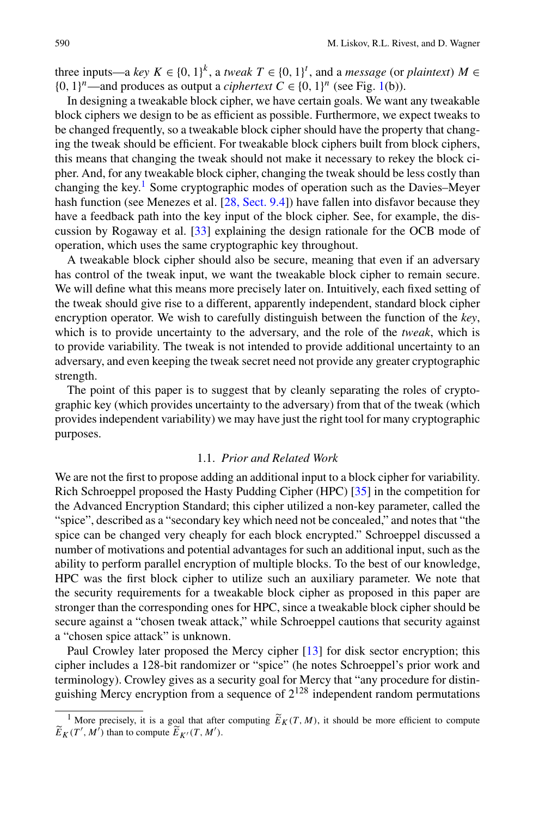three inputs—a *key*  $K \in \{0, 1\}^k$ , a *tweak*  $T \in \{0, 1\}^t$ , and a *message* (or *plaintext*)  $M \in$  ${0, 1}^n$ —and produces as output a *ciphertext*  $C \in {0, 1}^n$  (see Fig. [1\(](#page-1-0)b)).

In designing a tweakable block cipher, we have certain goals. We want any tweakable block ciphers we design to be as efficient as possible. Furthermore, we expect tweaks to be changed frequently, so a tweakable block cipher should have the property that changing the tweak should be efficient. For tweakable block ciphers built from block ciphers, this means that changing the tweak should not make it necessary to rekey the block cipher. And, for any tweakable block cipher, changing the tweak should be less costly than changing the key.<sup>[1](#page-2-0)</sup> Some cryptographic modes of operation such as the Davies–Meyer hash function (see Menezes et al. [[28,](#page-24-0) Sect. 9.4]) have fallen into disfavor because they have a feedback path into the key input of the block cipher. See, for example, the discussion by Rogaway et al. [[33\]](#page-25-0) explaining the design rationale for the OCB mode of operation, which uses the same cryptographic key throughout.

A tweakable block cipher should also be secure, meaning that even if an adversary has control of the tweak input, we want the tweakable block cipher to remain secure. We will define what this means more precisely later on. Intuitively, each fixed setting of the tweak should give rise to a different, apparently independent, standard block cipher encryption operator. We wish to carefully distinguish between the function of the *key*, which is to provide uncertainty to the adversary, and the role of the *tweak*, which is to provide variability. The tweak is not intended to provide additional uncertainty to an adversary, and even keeping the tweak secret need not provide any greater cryptographic strength.

The point of this paper is to suggest that by cleanly separating the roles of cryptographic key (which provides uncertainty to the adversary) from that of the tweak (which provides independent variability) we may have just the right tool for many cryptographic purposes.

#### 1.1. *Prior and Related Work*

We are not the first to propose adding an additional input to a block cipher for variability. Rich Schroeppel proposed the Hasty Pudding Cipher (HPC) [\[35](#page-25-1)] in the competition for the Advanced Encryption Standard; this cipher utilized a non-key parameter, called the "spice", described as a "secondary key which need not be concealed," and notes that "the spice can be changed very cheaply for each block encrypted." Schroeppel discussed a number of motivations and potential advantages for such an additional input, such as the ability to perform parallel encryption of multiple blocks. To the best of our knowledge, HPC was the first block cipher to utilize such an auxiliary parameter. We note that the security requirements for a tweakable block cipher as proposed in this paper are stronger than the corresponding ones for HPC, since a tweakable block cipher should be secure against a "chosen tweak attack," while Schroeppel cautions that security against a "chosen spice attack" is unknown.

<span id="page-2-0"></span>Paul Crowley later proposed the Mercy cipher [[13\]](#page-24-1) for disk sector encryption; this cipher includes a 128-bit randomizer or "spice" (he notes Schroeppel's prior work and terminology). Crowley gives as a security goal for Mercy that "any procedure for distinguishing Mercy encryption from a sequence of  $2^{128}$  independent random permutations

<sup>&</sup>lt;sup>1</sup> More precisely, it is a goal that after computing  $\widetilde{E}_K(T,M)$ , it should be more efficient to compute  $\widetilde{E}_K(T,M')$ .  $\widetilde{E}_K(T', M')$  than to compute  $\widetilde{E}_{K'}(T, M')$ .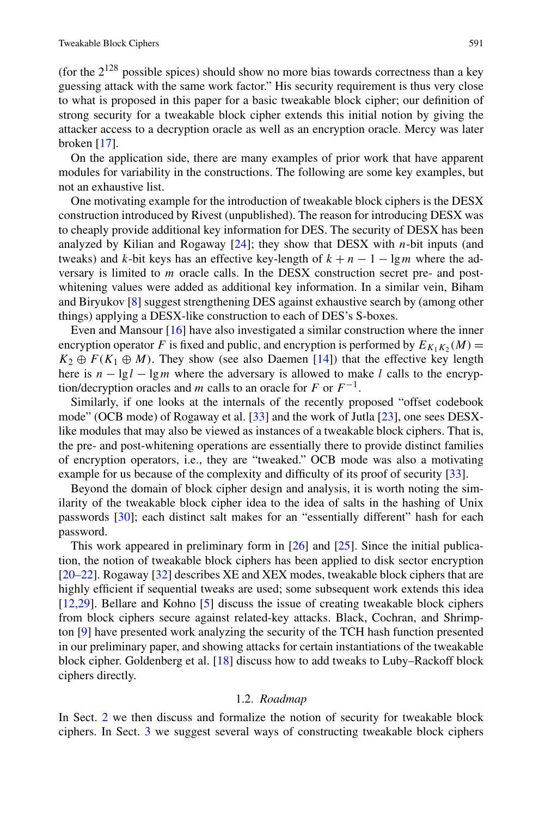(for the  $2^{128}$  possible spices) should show no more bias towards correctness than a key guessing attack with the same work factor." His security requirement is thus very close to what is proposed in this paper for a basic tweakable block cipher; our definition of strong security for a tweakable block cipher extends this initial notion by giving the attacker access to a decryption oracle as well as an encryption oracle. Mercy was later broken [\[17](#page-24-2)].

On the application side, there are many examples of prior work that have apparent modules for variability in the constructions. The following are some key examples, but not an exhaustive list.

One motivating example for the introduction of tweakable block ciphers is the DESX construction introduced by Rivest (unpublished). The reason for introducing DESX was to cheaply provide additional key information for DES. The security of DESX has been analyzed by Kilian and Rogaway [\[24](#page-24-3)]; they show that DESX with *n*-bit inputs (and tweaks) and *k*-bit keys has an effective key-length of  $k + n - 1 - \lg m$  where the adversary is limited to *m* oracle calls. In the DESX construction secret pre- and postwhitening values were added as additional key information. In a similar vein, Biham and Biryukov [\[8](#page-23-0)] suggest strengthening DES against exhaustive search by (among other things) applying a DESX-like construction to each of DES's S-boxes.

Even and Mansour [[16\]](#page-24-4) have also investigated a similar construction where the inner encryption operator *F* is fixed and public, and encryption is performed by  $E_{K_1K_2}(M)$  =  $K_2 \oplus F(K_1 \oplus M)$ . They show (see also Daemen [[14\]](#page-24-5)) that the effective key length here is *n* − lg *l* − lg *m* where the adversary is allowed to make *l* calls to the encryption/decryption oracles and *m* calls to an oracle for *F* or  $F^{-1}$ .

Similarly, if one looks at the internals of the recently proposed "offset codebook mode" (OCB mode) of Rogaway et al. [\[33](#page-25-0)] and the work of Jutla [\[23](#page-24-6)], one sees DESXlike modules that may also be viewed as instances of a tweakable block ciphers. That is, the pre- and post-whitening operations are essentially there to provide distinct families of encryption operators, i.e., they are "tweaked." OCB mode was also a motivating example for us because of the complexity and difficulty of its proof of security [[33\]](#page-25-0).

Beyond the domain of block cipher design and analysis, it is worth noting the similarity of the tweakable block cipher idea to the idea of salts in the hashing of Unix passwords [\[30](#page-24-7)]; each distinct salt makes for an "essentially different" hash for each password.

This work appeared in preliminary form in [[26\]](#page-24-8) and [[25\]](#page-24-9). Since the initial publication, the notion of tweakable block ciphers has been applied to disk sector encryption [\[20](#page-24-10)[–22](#page-24-11)]. Rogaway [[32\]](#page-24-12) describes XE and XEX modes, tweakable block ciphers that are highly efficient if sequential tweaks are used; some subsequent work extends this idea [\[12](#page-24-13),[29\]](#page-24-14). Bellare and Kohno [\[5](#page-23-1)] discuss the issue of creating tweakable block ciphers from block ciphers secure against related-key attacks. Black, Cochran, and Shrimpton [\[9](#page-23-2)] have presented work analyzing the security of the TCH hash function presented in our preliminary paper, and showing attacks for certain instantiations of the tweakable block cipher. Goldenberg et al. [[18\]](#page-24-15) discuss how to add tweaks to Luby–Rackoff block ciphers directly.

#### 1.2. *Roadmap*

In Sect. [2](#page-4-0) we then discuss and formalize the notion of security for tweakable block ciphers. In Sect. [3](#page-6-0) we suggest several ways of constructing tweakable block ciphers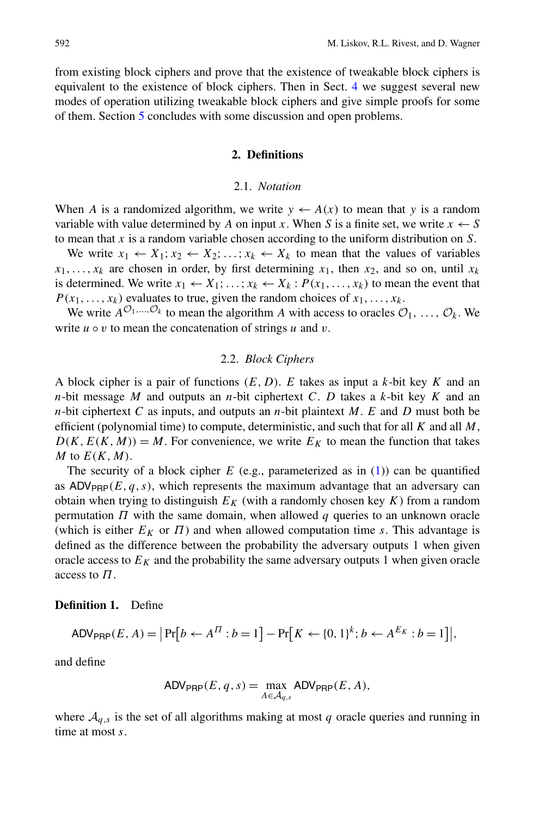<span id="page-4-0"></span>from existing block ciphers and prove that the existence of tweakable block ciphers is equivalent to the existence of block ciphers. Then in Sect. [4](#page-13-0) we suggest several new modes of operation utilizing tweakable block ciphers and give simple proofs for some of them. Section [5](#page-23-3) concludes with some discussion and open problems.

## **2. Definitions**

#### 2.1. *Notation*

When *A* is a randomized algorithm, we write  $y \leftarrow A(x)$  to mean that *y* is a random variable with value determined by *A* on input *x*. When *S* is a finite set, we write  $x \leftarrow S$ to mean that *x* is a random variable chosen according to the uniform distribution on *S*.

We write  $x_1 \leftarrow X_1; x_2 \leftarrow X_2; \ldots; x_k \leftarrow X_k$  to mean that the values of variables  $x_1, \ldots, x_k$  are chosen in order, by first determining  $x_1$ , then  $x_2$ , and so on, until  $x_k$ is determined. We write  $x_1 \leftarrow X_1; \ldots; x_k \leftarrow X_k : P(x_1, \ldots, x_k)$  to mean the event that  $P(x_1, \ldots, x_k)$  evaluates to true, given the random choices of  $x_1, \ldots, x_k$ .

We write  $A^{\mathcal{O}_1,\ldots,\mathcal{O}_k}$  to mean the algorithm *A* with access to oracles  $\mathcal{O}_1,\ldots,\mathcal{O}_k$ . We write  $u \circ v$  to mean the concatenation of strings  $u$  and  $v$ .

## 2.2. *Block Ciphers*

A block cipher is a pair of functions *(E,D)*. *E* takes as input a *k*-bit key *K* and an *n*-bit message *M* and outputs an *n*-bit ciphertext *C*. *D* takes a *k*-bit key *K* and an *n*-bit ciphertext *C* as inputs, and outputs an *n*-bit plaintext *M*. *E* and *D* must both be efficient (polynomial time) to compute, deterministic, and such that for all *K* and all *M*,  $D(K, E(K, M)) = M$ . For convenience, we write  $E_K$  to mean the function that takes *M* to  $E(K, M)$ .

<span id="page-4-1"></span>The security of a block cipher  $E$  (e.g., parameterized as in  $(1)$  $(1)$ ) can be quantified as  $ADV_{PRP}(E,q,s)$ , which represents the maximum advantage that an adversary can obtain when trying to distinguish  $E_K$  (with a randomly chosen key  $K$ ) from a random permutation *Π* with the same domain, when allowed *q* queries to an unknown oracle (which is either  $E_K$  or  $\Pi$ ) and when allowed computation time *s*. This advantage is defined as the difference between the probability the adversary outputs 1 when given oracle access to  $E_K$  and the probability the same adversary outputs 1 when given oracle access to *Π*.

## **Definition 1.** Define

$$
ADV_{\text{PRP}}(E, A) = \left| \Pr \left[ b \leftarrow A^{\Pi} : b = 1 \right] - \Pr \left[ K \leftarrow \{0, 1\}^k; b \leftarrow A^{E_K} : b = 1 \right] \right|,
$$

and define

$$
ADV_{\mathsf{PRP}}(E, q, s) = \max_{A \in \mathcal{A}_{q, s}} \mathsf{ADV}_{\mathsf{PRP}}(E, A),
$$

where  $A_{q,s}$  is the set of all algorithms making at most *q* oracle queries and running in time at most *s*.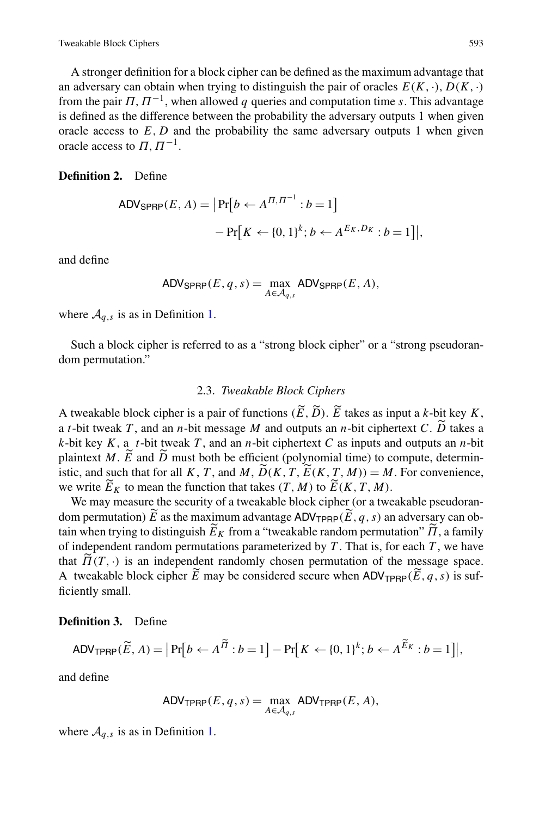A stronger definition for a block cipher can be defined as the maximum advantage that an adversary can obtain when trying to distinguish the pair of oracles  $E(K, \cdot), D(K, \cdot)$ from the pair  $\Pi$ ,  $\Pi^{-1}$ , when allowed q queries and computation time *s*. This advantage is defined as the difference between the probability the adversary outputs 1 when given oracle access to  $E, D$  and the probability the same adversary outputs 1 when given oracle access to  $\Pi$ ,  $\Pi^{-1}$ .

## **Definition 2.** Define

$$
ADV_{\text{SPRP}}(E, A) = | \Pr[b \leftarrow A^{\Pi, \Pi^{-1}} : b = 1 ]
$$

$$
- \Pr[K \leftarrow \{0, 1\}^k : b \leftarrow A^{E_K, D_K} : b = 1 ] |,
$$

and define

$$
\mathsf{ADV}_{\mathsf{SPRP}}(E, q, s) = \max_{A \in \mathcal{A}_{q, s}} \mathsf{ADV}_{\mathsf{SPRP}}(E, A),
$$

where  $A_{q,s}$  is as in Definition [1](#page-4-1).

Such a block cipher is referred to as a "strong block cipher" or a "strong pseudorandom permutation."

# 2.3. *Tweakable Block Ciphers*

A tweakable block cipher is a pair of functions  $(E, D)$ . *E* takes as input a *k*-bit key *K*,  $\alpha$  *k* is the s a set bit tweek *T*, and an *n* bit message *M* and outputs an *n* bit ciphertext *C*.  $\widetilde{D}$  takes a a *t*-bit tweak *T*, and an *n*-bit message *M* and outputs an *n*-bit ciphertext *C*.  $\tilde{D}$  takes a<br>*k* bit leve *K* a *t* bit tweak *T*, and an *n* bit ciphertext *C* as inputs and outputs an *n* bit *k*-bit key *K*, a *t*-bit tweak *T* , and an *n*-bit ciphertext *C* as inputs and outputs an *n*-bit plaintext *M*. *E* and *D* must both be efficient (polynomial time) to compute, determin-<br>istic and such that for all *K*, *T* and *M*,  $\widetilde{D}(K, T, \widetilde{E}(K, T, M)) = M$ . For convenience istic, and such that for all *K*, *T*, and *M*,  $\widetilde{D}(K, T, \widetilde{E}(K, T, M)) = M$ . For convenience, we write  $E_K$  to mean the function that takes  $(T, M)$  to  $E(K, T, M)$ .<br>We may massure the security of a two-skeple block einher (or a two

We may measure the security of a tweakable block cipher (or a tweakable pseudorandom permutation) *E* as the maximum advantage ADV<sub>TPRP</sub>(*E, q, s*) an adversary can ob-<br>tein when truing to distinguish  $\widetilde{F}_r$  from a "twookehle rendom permutation".  $\widetilde{H}_r$  a family  $\sum_{i=1}^{\infty}$  from a "tweakable random permutation"  $\tilde{H}$ , a family of independent random permutation  $\tilde{H}$ , a family of independent random permutations permutations of  $\tilde{H}$ , we have of independent random permutations parameterized by  $T$ . That is, for each  $T$ , we have that  $\Pi(T, \cdot)$  is an independent randomly chosen permutation of the message space. A tweakable block cipher *E* may be considered secure when  $ADV_{TPRP}(E, q, s)$  is suf-<br>faintly small ficiently small.

## **Definition 3.** Define

$$
\mathsf{ADV}_{\mathsf{TPRP}}(\widetilde{E}, A) = \left| \Pr\left[b \leftarrow A^{\widetilde{H}} : b = 1 \right] - \Pr\left[K \leftarrow \{0, 1\}^k; b \leftarrow A^{\widetilde{E}_K} : b = 1 \right] \right|,
$$

and define

$$
\mathsf{ADV}_{\mathsf{TPRP}}(E, q, s) = \max_{A \in \mathcal{A}_{q, s}} \mathsf{ADV}_{\mathsf{TPRP}}(E, A),
$$

where  $A_{q,s}$  is as in Definition [1](#page-4-1).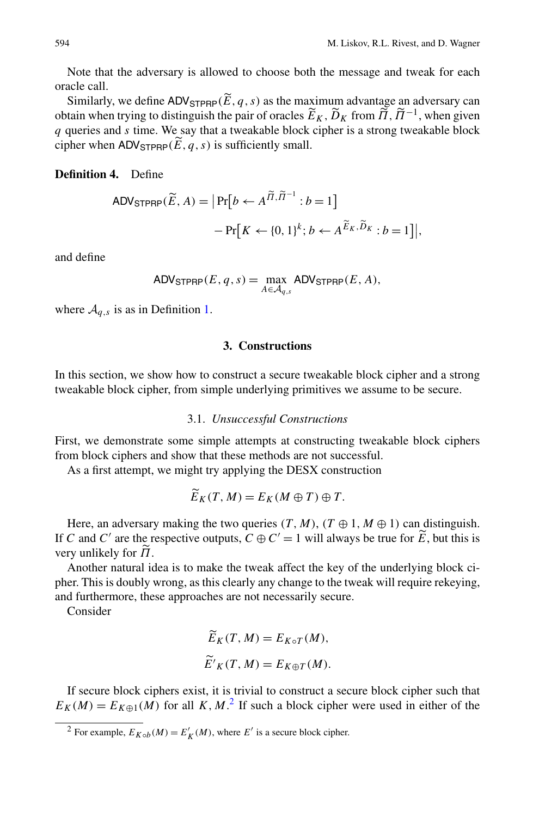Note that the adversary is allowed to choose both the message and tweak for each oracle call.

Similarly, we define ADV<sub>STPRP</sub> $(E, q, s)$  as the maximum advantage an adversary can<br>tain when trying to distinguish the pair of oracles  $\widetilde{E}_v$ ,  $\widetilde{D}_v$  from  $\widetilde{H}$ ,  $\widetilde{H}^{-1}$ , when given obtain when trying to distinguish the pair of oracles  $\widetilde{E}_K$ ,  $\widetilde{D}_K$  from  $\widetilde{H}$ ,  $\widetilde{H}^{-1}$ , when given a queries and s time. We say that a tweakable block cipher is a strong tweakable block -*q* queries and *s* time. We say that a tweakable block cipher is a strong tweakable block cipher when  $\mathsf{ADV}_{\mathsf{STPRP}}(E, q, s)$  is sufficiently small.

# **Definition 4.** Define

$$
\begin{aligned} \mathsf{ADV}_{\mathsf{STPRP}}(\widetilde{E}, A) &= \left| \Pr \left[ b \leftarrow A^{\widetilde{H}, \widetilde{H}^{-1}} : b = 1 \right] \right. \\ &\quad - \Pr \left[ K \leftarrow \{0, 1\}^k : b \leftarrow A^{\widetilde{E}_K, \widetilde{D}_K} : b = 1 \right] \right], \end{aligned}
$$

<span id="page-6-0"></span>and define

$$
\mathsf{ADV}_{\mathsf{STPRP}}(E, q, s) = \max_{A \in \mathcal{A}_{q, s}} \mathsf{ADV}_{\mathsf{STPRP}}(E, A),
$$

where  $A_{q,s}$  is as in Definition [1](#page-4-1).

# **3. Constructions**

In this section, we show how to construct a secure tweakable block cipher and a strong tweakable block cipher, from simple underlying primitives we assume to be secure.

#### 3.1. *Unsuccessful Constructions*

First, we demonstrate some simple attempts at constructing tweakable block ciphers from block ciphers and show that these methods are not successful.

As a first attempt, we might try applying the DESX construction

$$
\widetilde{E}_K(T,M) = E_K(M \oplus T) \oplus T.
$$

Here, an adversary making the two queries  $(T, M)$ ,  $(T \oplus 1, M \oplus 1)$  can distinguish. If *C* and *C'* are the respective outputs,  $C \oplus C' = 1$  will always be true for  $\widetilde{E}$ , but this is very unlikely for *<sup>Π</sup>*-.

Another natural idea is to make the tweak affect the key of the underlying block cipher. This is doubly wrong, as this clearly any change to the tweak will require rekeying, and furthermore, these approaches are not necessarily secure.

<span id="page-6-1"></span>Consider

$$
\widetilde{E}_K(T, M) = E_{K \circ T}(M),
$$
  

$$
\widetilde{E}'_K(T, M) = E_{K \oplus T}(M).
$$

If secure block ciphers exist, it is trivial to construct a secure block cipher such that  $E_K(M) = E_{K \oplus 1}(M)$  for all *K*, *M*.<sup>[2](#page-6-1)</sup> If such a block cipher were used in either of the

<sup>&</sup>lt;sup>2</sup> For example,  $E_{K \circ b}(M) = E'_{K}(M)$ , where  $E'$  is a secure block cipher.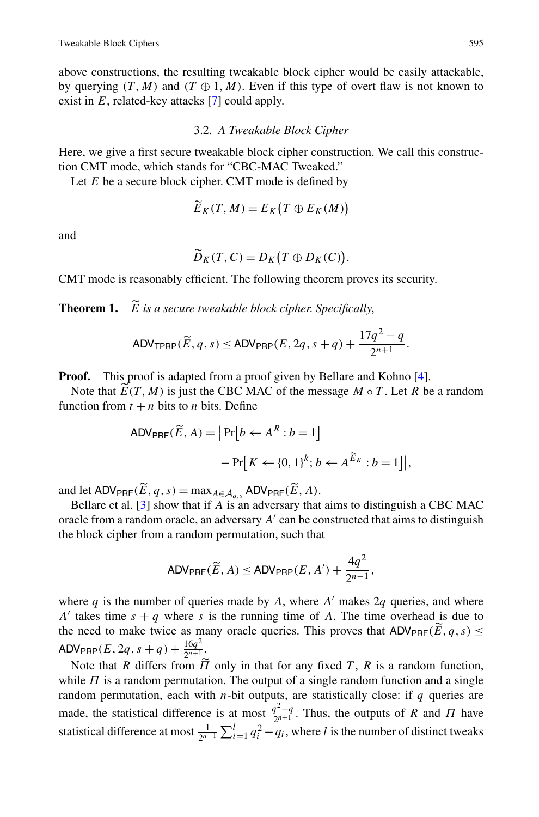<span id="page-7-1"></span>above constructions, the resulting tweakable block cipher would be easily attackable, by querying  $(T, M)$  and  $(T \oplus 1, M)$ . Even if this type of overt flaw is not known to exist in *E*, related-key attacks [[7\]](#page-23-4) could apply.

#### 3.2. *A Tweakable Block Cipher*

Here, we give a first secure tweakable block cipher construction. We call this construction CMT mode, which stands for "CBC-MAC Tweaked."

<span id="page-7-0"></span>Let *E* be a secure block cipher. CMT mode is defined by

$$
\widetilde{E}_K(T,M) = E_K\bigl(T \oplus E_K(M)\bigr)
$$

and

$$
\widetilde{D}_K(T, C) = D_K\bigl(T \oplus D_K(C)\bigr).
$$

CMT mode is reasonably efficient. The following theorem proves its security.

**Theorem 1.** E is a secure tweakable block cipher. Specifically,

$$
\mathsf{ADV}_{\mathsf{TPRP}}(\widetilde{E}, q, s) \le \mathsf{ADV}_{\mathsf{PRP}}(E, 2q, s + q) + \frac{17q^2 - q}{2^{n+1}}.
$$

**Proof.** This proof is adapted from a proof given by Bellare and Kohno [[4\]](#page-23-5).

Note that  $E(T, M)$  is just the CBC MAC of the message  $M \circ T$ . Let  $R$  be a random notion from  $t + n$  hits to  $n$  hits. Define function from  $t + n$  bits to *n* bits. Define

$$
ADV_{\text{PRF}}(\widetilde{E}, A) = |\Pr[b \leftarrow A^{R} : b = 1] - \Pr[K \leftarrow \{0, 1\}^{k}; b \leftarrow A^{\widetilde{E}_K} : b = 1]|,
$$

and let ADV<sub>PRF</sub> $(E, q, s) = \max_{A \in \mathcal{A}_{q,s}} \text{ADV}_{PRF}(E, A)$ .<br>
Bollog at al. [3] show that if A is an advancent that

Bellare et al.  $\lceil 3 \rceil$  show that if *A* is an adversary that aims to distinguish a CBC MAC oracle from a random oracle, an adversary *A'* can be constructed that aims to distinguish the block cipher from a random permutation, such that

$$
\mathsf{ADV}_{\mathsf{PRF}}(\widetilde{E}, A) \le \mathsf{ADV}_{\mathsf{PRP}}(E, A') + \frac{4q^2}{2^{n-1}},
$$

where  $q$  is the number of queries made by  $A$ , where  $A'$  makes  $2q$  queries, and where *A'* takes time  $s + q$  where *s* is the running time of *A*. The time overhead is due to the need to make twice as many oracle queries. This proves that  $ADV_{PRF}(E,q,s) \le$ ADV<sub>PRP</sub> $(E, 2q, s + q) + \frac{16q^2}{2^{n+1}}$ .

Note that *R* differs from *Π*- only in that for any fixed *T*, *R* is a random function,<br>bile *H* is a random permutation. The output of a single random function and a single while  $\Pi$  is a random permutation. The output of a single random function and a single random permutation, each with *n*-bit outputs, are statistically close: if *q* queries are made, the statistical difference is at most  $\frac{q^2-q}{2^{n+1}}$ . Thus, the outputs of *R* and *Π* have statistical difference at most  $\frac{1}{2^{n+1}}\sum_{i=1}^{l} q_i^2 - q_i$ , where *l* is the number of distinct tweaks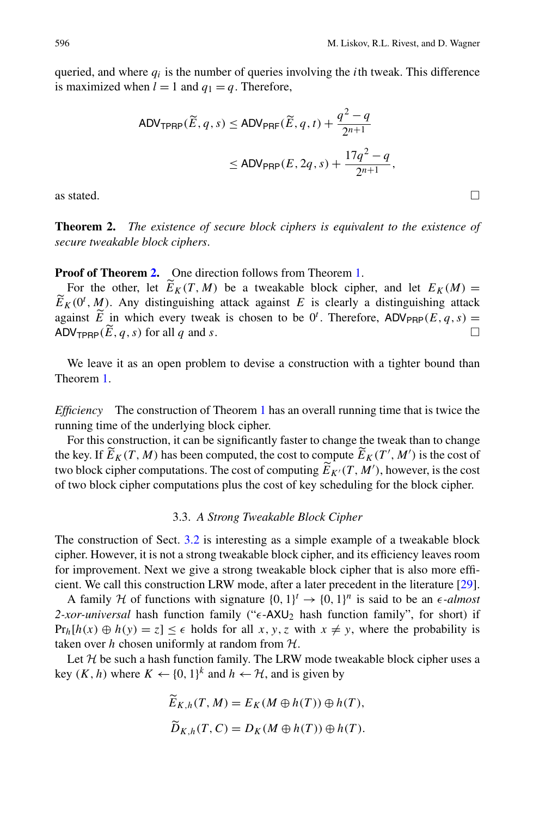queried, and where  $q_i$  is the number of queries involving the *i*th tweak. This difference is maximized when  $l = 1$  and  $q_1 = q$ . Therefore,

<span id="page-8-0"></span>
$$
\begin{aligned} \text{ADV}_{\text{TPRP}}(\widetilde{E}, q, s) &\leq \text{ADV}_{\text{PRF}}(\widetilde{E}, q, t) + \frac{q^2 - q}{2^{n+1}} \\ &\leq \text{ADV}_{\text{PRP}}(E, 2q, s) + \frac{17q^2 - q}{2^{n+1}}, \end{aligned}
$$
\nas stated.

**Theorem 2.** *The existence of secure block ciphers is equivalent to the existence of secure tweakable block ciphers*.

# **Proof of Theorem [2.](#page-8-0)** One direction follows from Theorem [1.](#page-7-0)

For the other, let  $E_K(T, M)$  be a tweakable block cipher, and let  $E_K(M) =$  $\widetilde{E}_K(0^t, M)$ . Any distinguishing attack against *E* is clearly a distinguishing attack against  $\tilde{E}$  in which every tweak is chosen to be  $0^t$ . Therefore, ADV<sub>PRP</sub>( $E, q, s$ ) =  $\mathsf{ADV}_{\mathsf{TPRP}}(\widetilde{E},q,s)$  for all *q* and *s*.

We leave it as an open problem to devise a construction with a tighter bound than Theorem [1](#page-7-0).

*Efficiency* The construction of Theorem [1](#page-7-0) has an overall running time that is twice the running time of the underlying block cipher.

For this construction, it can be significantly faster to change the tweak than to change the key. If  $\widetilde{E}_K(T,M)$  has been computed, the cost to compute  $\widetilde{E}_K(T',M')$  is the cost of two block cipher computations. The cost of computing  $E_{K'}(T, M')$ , however, is the cost of  $\alpha$  of two block cipher computations. The east of companing  $E_K(\tau)$ ,  $\alpha$ , it is the cost of two block cipher.

# 3.3. *A Strong Tweakable Block Cipher*

The construction of Sect. [3.2](#page-7-1) is interesting as a simple example of a tweakable block cipher. However, it is not a strong tweakable block cipher, and its efficiency leaves room for improvement. Next we give a strong tweakable block cipher that is also more efficient. We call this construction LRW mode, after a later precedent in the literature [[29\]](#page-24-14).

A family H of functions with signature  $\{0, 1\}^t \rightarrow \{0, 1\}^n$  is said to be an  $\epsilon$ -almost 2-xor-universal hash function family (" $\epsilon$ -AXU<sub>2</sub> hash function family", for short) if  $Pr_h[h(x) \oplus h(y) = z] \leq \epsilon$  holds for all *x*, *y*, *z* with  $x \neq y$ , where the probability is taken over  $h$  chosen uniformly at random from  $H$ .

Let  $H$  be such a hash function family. The LRW mode tweakable block cipher uses a key  $(K, h)$  where  $K \leftarrow \{0, 1\}^k$  and  $h \leftarrow H$ , and is given by

$$
\widetilde{E}_{K,h}(T,M) = E_K(M \oplus h(T)) \oplus h(T),
$$
  

$$
\widetilde{D}_{K,h}(T,C) = D_K(M \oplus h(T)) \oplus h(T).
$$

 $\ddot{\phantom{a}}$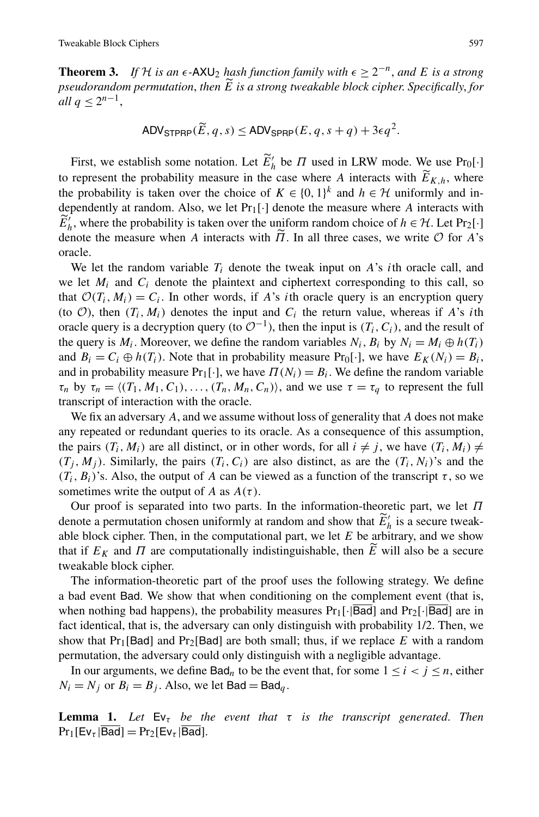<span id="page-9-1"></span>**Theorem 3.** If H is an  $\epsilon$ -AXU<sub>2</sub> hash function family with  $\epsilon > 2^{-n}$ , and E is a strong *pseudorandom permutation*, *then E* - *is a strong tweakable block cipher*. *Specifically*, *for all*  $q \leq 2^{n-1}$ ,

$$
ADV_{\text{STPRP}}(\widetilde{E}, q, s) \le \text{ADV}_{\text{SPRP}}(E, q, s + q) + 3\epsilon q^2.
$$

First, we establish some notation. Let  $\widetilde{E}'_h$  be  $\Pi$  used in LRW mode. We use Pr<sub>0</sub>[·] to represent the probability measure in the case where *A* interacts with  $\widetilde{E}_{K,h}$ , where the probability is taken over the choice of  $K \in \{0, 1\}^k$  and  $h \in \mathcal{H}$  uniformly and independently at random. Also, we let Pr1[·] denote the measure where *A* interacts with  $\widetilde{E}'_h$ , where the probability is taken over the uniform random choice of *h* ∈ H. Let Pr<sub>2</sub>[·]  $\overline{a}_h$ , where the procedurity is called over the emission values of *R*  $\overline{c}_h$ . Let  $\overline{c}_h$  it is the measure when *A* interacts with  $\overline{h}$ . In all three cases, we write  $\overline{O}$  for *A*'s oracle.

We let the random variable  $T_i$  denote the tweak input on  $A$ 's *i*th oracle call, and we let  $M_i$  and  $C_i$  denote the plaintext and ciphertext corresponding to this call, so that  $\mathcal{O}(T_i, M_i) = C_i$ . In other words, if *A*'s *i*th oracle query is an encryption query (to  $\mathcal{O}$ ), then  $(T_i, M_i)$  denotes the input and  $C_i$  the return value, whereas if *A*'s *i*th oracle query is a decryption query (to  $\mathcal{O}^{-1}$ ), then the input is  $(T_i, C_i)$ , and the result of the query is  $M_i$ . Moreover, we define the random variables  $N_i$ ,  $B_i$  by  $N_i = M_i \oplus h(T_i)$ and  $B_i = C_i \oplus h(T_i)$ . Note that in probability measure  $Pr_0[\cdot]$ , we have  $E_K(N_i) = B_i$ , and in probability measure  $Pr_1[\cdot]$ , we have  $\Pi(N_i) = B_i$ . We define the random variable  $\tau_n$  by  $\tau_n = \langle (T_1, M_1, C_1), \ldots, (T_n, M_n, C_n) \rangle$ , and we use  $\tau = \tau_q$  to represent the full transcript of interaction with the oracle.

We fix an adversary *A*, and we assume without loss of generality that *A* does not make any repeated or redundant queries to its oracle. As a consequence of this assumption, the pairs  $(T_i, M_i)$  are all distinct, or in other words, for all  $i \neq j$ , we have  $(T_i, M_i) \neq$  $(T_i, M_i)$ . Similarly, the pairs  $(T_i, C_i)$  are also distinct, as are the  $(T_i, N_i)$ 's and the  $(T_i, B_i)$ 's. Also, the output of *A* can be viewed as a function of the transcript  $\tau$ , so we sometimes write the output of *A* as  $A(\tau)$ .

Our proof is separated into two parts. In the information-theoretic part, we let *Π* denote a permutation chosen uniformly at random and show that  $\widetilde{E}'_h$  is a secure tweakable block cipher. Then, in the computational part, we let  $E$  be arbitrary, and we show that if  $E_K$  and  $\Pi$  are computationally indistinguishable, then  $E$  will also be a secure two skyle block cipher tweakable block cipher.

<span id="page-9-0"></span>The information-theoretic part of the proof uses the following strategy. We define a bad event Bad. We show that when conditioning on the complement event (that is, when nothing bad happens), the probability measures  $Pr_1[\cdot|\overline{Bad}]$  and  $Pr_2[\cdot|\overline{Bad}]$  are in fact identical, that is, the adversary can only distinguish with probability 1/2. Then, we show that  $Pr_1$ [Bad] and  $Pr_2$ [Bad] are both small; thus, if we replace *E* with a random permutation, the adversary could only distinguish with a negligible advantage.

In our arguments, we define Bad<sub>n</sub> to be the event that, for some  $1 \le i < j \le n$ , either  $N_i = N_j$  or  $B_i = B_j$ . Also, we let Bad = Bad<sub>q</sub>.

**Lemma 1.** Let  $Ev_{\tau}$  be the event that  $\tau$  is the transcript generated. Then  $Pr_1[Ev_\tau|\overline{\text{Bad}}] = Pr_2[Ev_\tau|\overline{\text{Bad}}]$ .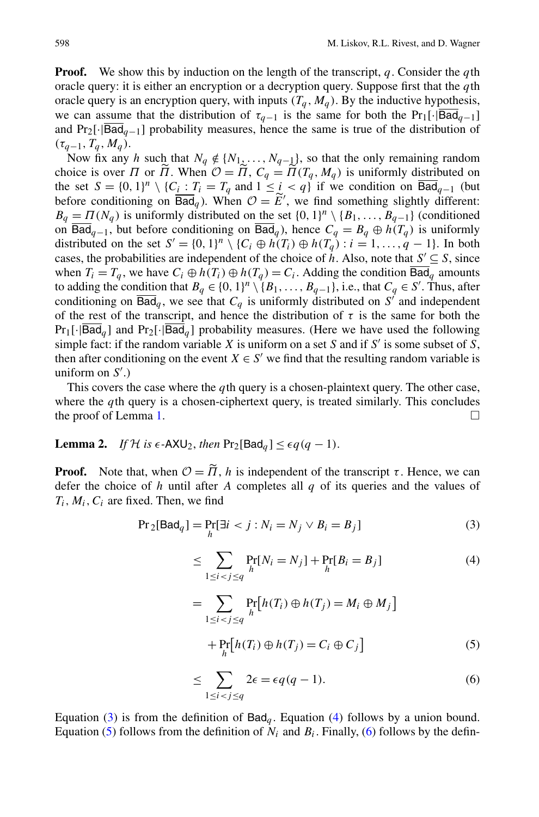**Proof.** We show this by induction on the length of the transcript, *q*. Consider the *q*th oracle query: it is either an encryption or a decryption query. Suppose first that the *q*th oracle query is an encryption query, with inputs  $(T_q, M_q)$ . By the inductive hypothesis, we can assume that the distribution of  $\tau_{q-1}$  is the same for both the Pr<sub>1</sub>[·|Bad<sub>q−1</sub>] and Pr2[·|Bad*q*−1] probability measures, hence the same is true of the distribution of  $(\tau_{a-1}, T_a, M_a)$ .

Now fix any *h* such that  $N_q \notin \{N_1, \ldots, N_{q-1}\}$ , so that the only remaining random choice is over *Π* or *Π*. When  $\mathcal{O} = \Pi$ ,  $C_q = \Pi(T_q, M_q)$  is uniformly distributed on<br>the set  $S = \{0, 1\}^n \setminus \{C_1 : T_1 = T_2 \}$  and  $1 \le i \le q\}$  if we condition on **Bad** the set  $S = \{0, 1\}^n \setminus \{C_i : T_i = T_q \text{ and } 1 \le i < q\}$  if we condition on  $\overline{\text{Bad}}_{q-1}$  (but before conditioning on  $\overline{\text{Bad}}_q$ ). When  $\mathcal{O} = \widetilde{E}'$ , we find something slightly different:  $B_q = \Pi(N_q)$  is uniformly distributed on the set  $\{0, 1\}^n \setminus \{B_1, \ldots, B_{q-1}\}$  (conditioned on  $\overline{\text{Bad}}_{q-1}$ , but before conditioning on  $\overline{\text{Bad}}_q$ ), hence  $C_q = B_q \oplus h(T_q)$  is uniformly distributed on the set  $S' = \{0, 1\}^n \setminus \{C_i \oplus h(T_i) \oplus h(T_q) : i = 1, ..., q - 1\}$ . In both cases, the probabilities are independent of the choice of *h*. Also, note that  $S' \subseteq S$ , since when  $T_i = T_q$ , we have  $C_i \oplus h(T_i) \oplus h(T_q) = C_i$ . Adding the condition  $\overline{\text{Bad}}_q$  amounts to adding the condition that  $B_q \in \{0, 1\}^n \setminus \{B_1, \ldots, B_{q-1}\},$  i.e., that  $C_q \in S'$ . Thus, after conditioning on  $\overline{\text{Bad}}_q$ , we see that  $C_q$  is uniformly distributed on  $S'$  and independent of the rest of the transcript, and hence the distribution of  $\tau$  is the same for both the  $Pr_1[\cdot|\overline{Bad}_q]$  and  $Pr_2[\cdot|\overline{Bad}_q]$  probability measures. (Here we have used the following simple fact: if the random variable *X* is uniform on a set *S* and if  $S'$  is some subset of  $S$ , then after conditioning on the event  $X \in S'$  we find that the resulting random variable is uniform on *S* .)

<span id="page-10-4"></span><span id="page-10-0"></span>This covers the case where the *q*th query is a chosen-plaintext query. The other case, where the *q*th query is a chosen-ciphertext query, is treated similarly. This concludes the proof of Lemma [1](#page-9-0).  $\Box$ 

# <span id="page-10-1"></span>**Lemma 2.** *If*  $H$  *is*  $\epsilon$ -AXU<sub>2</sub>, *then*  $Pr_2[Bad_q] \leq \epsilon q(q-1)$ .

**Proof.** Note that, when  $\mathcal{O} = \Pi$ , *h* is independent of the transcript *τ*. Hence, we can defer the choice of *h* until after *A* completes all *a* of its queries and the values of defer the choice of *h* until after *A* completes all *q* of its queries and the values of *Ti,Mi,Ci* are fixed. Then, we find

<span id="page-10-3"></span><span id="page-10-2"></span>
$$
\Pr_2[\text{Bad}_q] = \Pr_i[\exists i < j : N_i = N_j \lor B_i = B_j] \tag{3}
$$

$$
\leq \sum_{1 \leq i < j \leq q} \Pr[N_i = N_j] + \Pr[B_i = B_j] \tag{4}
$$

$$
= \sum_{1 \le i < j \le q} \Pr_{h} \big[ h(T_i) \oplus h(T_j) = M_i \oplus M_j \big] + \Pr_{h} \big[ h(T_i) \oplus h(T_j) = C_i \oplus C_j \big] \tag{5}
$$

$$
\leq \sum_{1 \leq i < j \leq q} 2\epsilon = \epsilon q(q-1). \tag{6}
$$

Equation ([3\)](#page-10-0) is from the definition of  $Bad<sub>q</sub>$ . Equation ([4](#page-10-1)) follows by a union bound. Equation ([5\)](#page-10-2) follows from the definition of  $N_i$  and  $B_i$ . Finally, [\(6](#page-10-3)) follows by the defin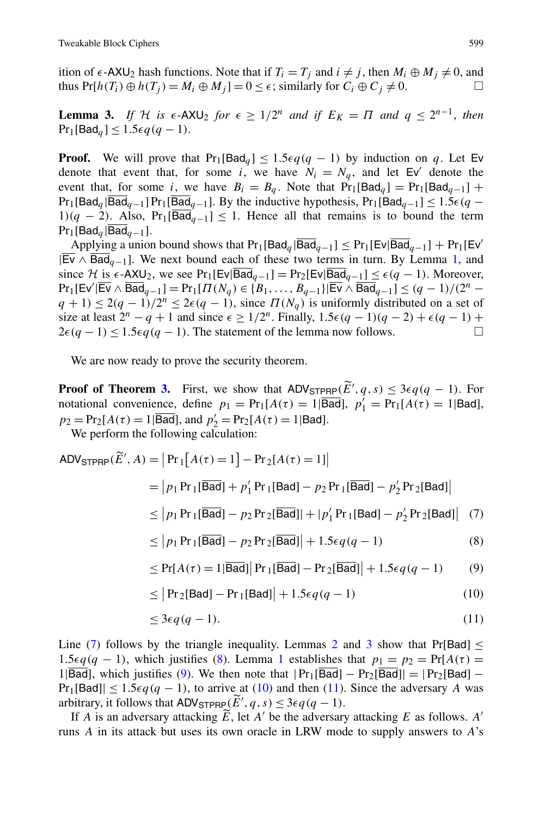<span id="page-11-1"></span>ition of  $\epsilon$ -AXU<sub>2</sub> hash functions. Note that if  $T_i = T_j$  and  $i \neq j$ , then  $M_i \oplus M_j \neq 0$ , and thus  $Pr[h(T_i) \oplus h(T_j) = M_i \oplus M_j] = 0 \le \epsilon$ ; similarly for  $C_i \oplus C_j \ne 0$ .

**Lemma 3.** If H is  $\epsilon$ -AXU<sub>2</sub> for  $\epsilon \geq 1/2^n$  *and* if  $E_K = \Pi$  *and*  $q \leq 2^{n-1}$ , *then*  $Pr_1[Bad_q] \leq 1.5\epsilon q(q-1).$ 

**Proof.** We will prove that  $Pr_1[Bad_q] \leq 1.5\epsilon q(q-1)$  by induction on q. Let Ev denote that event that, for some *i*, we have  $N_i = N_a$ , and let Ev' denote the event that, for some *i*, we have  $B_i = B_q$ . Note that  $Pr_i[Bad_q] = Pr_i[Bad_{q-1}] +$  $Pr_1[\text{Bad}_q|\overline{\text{Bad}}_{q-1}]Pr_1[\overline{\text{Bad}}_{q-1}]$ . By the inductive hypothesis,  $Pr_1[\text{Bad}_{q-1}] \leq 1.5\epsilon(q-1)$ 1)(q − 2). Also,  $Pr_1[\overline{Bad}_{q-1}] \le 1$ . Hence all that remains is to bound the term Pr1[Bad*<sup>q</sup>* |Bad*q*−1].

Applying a union bound shows that  $Pr_1[Bad_q|Bad_{q-1}] \leq Pr_1[Ev|Bad_{q-1}] + Pr_1[Ev']$  $|\overline{\mathsf{Ev}} \wedge \overline{\mathsf{Bad}}_{q-1}|$ . We next bound each of these two terms in turn. By Lemma [1,](#page-9-0) and since H is  $\epsilon$ -AXU<sub>2</sub>, we see Pr<sub>1</sub>[Ev| $\overline{\text{Bad}}_{q-1}$ ] = Pr<sub>2</sub>[Ev| $\overline{\text{Bad}}_{q-1}$ ]  $\leq \epsilon (q-1)$ . Moreover,  $Pr_1[\text{Ev}'|\overline{\text{Ev}} \wedge \overline{\text{Bad}}_{q-1}] = Pr_1[ \Pi(N_q) \in \overline{\{B_1,\ldots,B_{q-1}\}|\overline{\text{Ev}} \wedge \overline{\text{Bad}}_{q-1}] \leq (q-1)/(2^n-1)$  $q + 1 \leq 2(q - 1)/2^n \leq 2\epsilon(q - 1)$ , since  $\Pi(N_q)$  is uniformly distributed on a set of size at least  $2^{n} - q + 1$  and since  $\epsilon \ge 1/2^{n}$ . Finally,  $1.5\epsilon(q - 1)(q - 2) + \epsilon(q - 1) +$  $2\epsilon(q-1) \leq 1.5\epsilon q(q-1)$ . The statement of the lemma now follows.

We are now ready to prove the security theorem.

**Proof of Theorem [3](#page-9-1).** First, we show that  $ADV_{STPRP}(\tilde{E}', q, s) \leq 3\epsilon q(q - 1)$ . For notational convenience, define  $p_1 = \Pr_1[A(\tau) = 1|\overline{\text{Bad}}]$ ,  $p'_1 = \Pr_1[A(\tau) = 1|\text{Bad}]$ ,  $p_2 = \Pr_2[A(\tau) = 1 | \overline{\mathsf{Bad}}]$ , and  $p'_2 = \Pr_2[A(\tau) = 1 | \mathsf{Bad}]$ .

<span id="page-11-2"></span><span id="page-11-0"></span>We perform the following calculation:

<span id="page-11-5"></span>
$$
ADV_{STPRP}(\widetilde{E}', A) = |Pr_1[A(\tau) = 1] - Pr_2[A(\tau) = 1]|
$$
  
\n
$$
= |p_1 Pr_1[\overline{Bad}] + p'_1 Pr_1[\overline{Bad}] - p_2 Pr_1[\overline{Bad}] - p'_2 Pr_2[\overline{Bad}]|
$$
  
\n
$$
\leq |p_1 Pr_1[\overline{Bad}] - p_2 Pr_2[\overline{Bad}]| + |p'_1 Pr_1[\overline{Bad}] - p'_2 Pr_2[\overline{Bad}]| \quad (7)
$$
  
\n
$$
\leq |p_1 Pr_1[\overline{Bad}] - p_2 Pr_2[\overline{Bad}]| + 1.5\epsilon q(q - 1) \quad (8)
$$
  
\n
$$
\leq Pr[A(\tau) = 1|\overline{Bad}] |Pr_1[\overline{Bad}] - Pr_2[\overline{Bad}]| + 1.5\epsilon q(q - 1) \quad (9)
$$
  
\n
$$
\leq |Pr_2[\overline{Bad}] - Pr_1[\overline{Bad}]| + 1.5\epsilon q(q - 1) \quad (10)
$$

<span id="page-11-4"></span><span id="page-11-3"></span>
$$
\leq 3\epsilon q(q-1). \tag{11}
$$

Line ([7\)](#page-11-0) follows by the triangle inequality. Lemmas [2](#page-10-4) and [3](#page-11-1) show that Pr[Bad]  $\leq$ [1](#page-9-0)*.5∈q*(*q* − 1), which justifies ([8\)](#page-11-2). Lemma 1 establishes that *p*<sub>1</sub> = *p*<sub>2</sub> = Pr[*A*(*τ*) = 1|Bad], which justifies [\(9](#page-11-3)). We then note that  $|Pr_1[Bad] - Pr_2[Bad] Pr_{1}[Bad] \leq 1.5\epsilon q(q-1)$ , to arrive at [\(10](#page-11-4)) and then ([11\)](#page-11-5). Since the adversary *A* was arbitrary, it follows that  $\mathsf{ADV}_{\mathsf{STPRP}}(\widetilde{E}', q, s) \leq 3\epsilon q(q-1)$ .

If *A* is an adversary attacking  $\tilde{E}$ , let *A'* be the adversary attacking *E* as follows. *A'* If *A* is an adversary attacking *E* -runs *A* in its attack but uses its own oracle in LRW mode to supply answers to *A*'s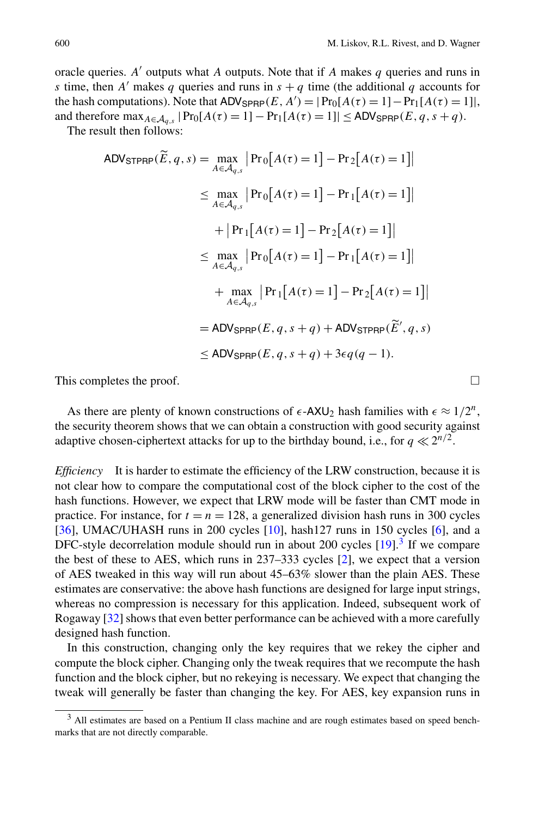oracle queries. *A* outputs what *A* outputs. Note that if *A* makes *q* queries and runs in *s* time, then *A'* makes *q* queries and runs in  $s + q$  time (the additional *q* accounts for the hash computations). Note that  $ADV_{SPRP}(E, A') = |Pr_0[A(\tau) = 1] - Pr_1[A(\tau) = 1]|$ , and therefore  $\max_{A \in \mathcal{A}_{q,s}} |Pr_0[A(\tau) = 1] - Pr_1[A(\tau) = 1]| \leq \text{ADV}_{\text{SPRP}}(E, q, s + q).$ 

The result then follows:

$$
ADV_{\text{STPRP}}(\widetilde{E}, q, s) = \max_{A \in \mathcal{A}_{q,s}} \left| \Pr_0[A(\tau) = 1] - \Pr_2[A(\tau) = 1] \right|
$$
  
\n
$$
\leq \max_{A \in \mathcal{A}_{q,s}} \left| \Pr_0[A(\tau) = 1] - \Pr_1[A(\tau) = 1] \right|
$$
  
\n
$$
+ \left| \Pr_1[A(\tau) = 1] - \Pr_2[A(\tau) = 1] \right|
$$
  
\n
$$
\leq \max_{A \in \mathcal{A}_{q,s}} \left| \Pr_0[A(\tau) = 1] - \Pr_1[A(\tau) = 1] \right|
$$
  
\n
$$
+ \max_{A \in \mathcal{A}_{q,s}} \left| \Pr_1[A(\tau) = 1] - \Pr_2[A(\tau) = 1] \right|
$$
  
\n
$$
= \text{ADV}_{\text{SPRP}}(E, q, s + q) + \text{ADV}_{\text{STPRP}}(\widetilde{E}', q, s)
$$
  
\n
$$
\leq \text{ADV}_{\text{SPRP}}(E, q, s + q) + 3\epsilon q(q - 1).
$$

This completes the proof.  $\Box$ 

As there are plenty of known constructions of  $\epsilon$ -AXU<sub>2</sub> hash families with  $\epsilon \approx 1/2^n$ , the security theorem shows that we can obtain a construction with good security against adaptive chosen-ciphertext attacks for up to the birthday bound, i.e., for  $q \ll 2^{n/2}$ .

*Efficiency* It is harder to estimate the efficiency of the LRW construction, because it is not clear how to compare the computational cost of the block cipher to the cost of the hash functions. However, we expect that LRW mode will be faster than CMT mode in practice. For instance, for  $t = n = 128$ , a generalized division hash runs in 300 cycles  $[36]$  $[36]$ , UMAC/UHASH runs in 200 cycles  $[10]$  $[10]$ , hash127 runs in 150 cycles  $[6]$  $[6]$ , and a DFC-style decorrelation module should run in about 200 cycles  $[19]$  $[19]$ .<sup>3</sup> If we compare the best of these to AES, which runs in 237–333 cycles [[2\]](#page-23-8), we expect that a version of AES tweaked in this way will run about 45–63% slower than the plain AES. These estimates are conservative: the above hash functions are designed for large input strings, whereas no compression is necessary for this application. Indeed, subsequent work of Rogaway [\[32](#page-24-12)] shows that even better performance can be achieved with a more carefully designed hash function.

<span id="page-12-0"></span>In this construction, changing only the key requires that we rekey the cipher and compute the block cipher. Changing only the tweak requires that we recompute the hash function and the block cipher, but no rekeying is necessary. We expect that changing the tweak will generally be faster than changing the key. For AES, key expansion runs in

<sup>3</sup> All estimates are based on a Pentium II class machine and are rough estimates based on speed benchmarks that are not directly comparable.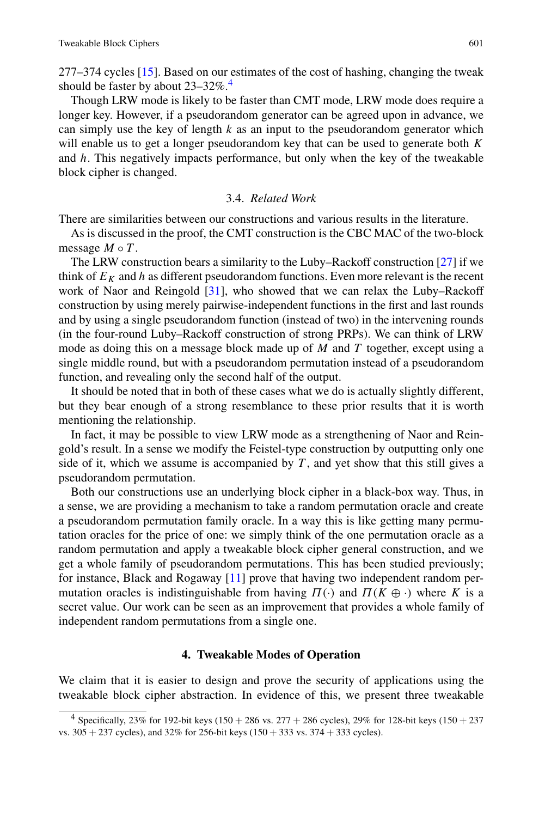277–374 cycles [\[15](#page-24-18)]. Based on our estimates of the cost of hashing, changing the tweak should be faster by about  $23-32\%$ .<sup>4</sup>

Though LRW mode is likely to be faster than CMT mode, LRW mode does require a longer key. However, if a pseudorandom generator can be agreed upon in advance, we can simply use the key of length  $k$  as an input to the pseudorandom generator which will enable us to get a longer pseudorandom key that can be used to generate both *K* and *h*. This negatively impacts performance, but only when the key of the tweakable block cipher is changed.

# 3.4. *Related Work*

There are similarities between our constructions and various results in the literature.

As is discussed in the proof, the CMT construction is the CBC MAC of the two-block message  $M \circ T$ .

The LRW construction bears a similarity to the Luby–Rackoff construction [\[27](#page-24-19)] if we think of  $E_K$  and h as different pseudorandom functions. Even more relevant is the recent work of Naor and Reingold [\[31](#page-24-20)], who showed that we can relax the Luby–Rackoff construction by using merely pairwise-independent functions in the first and last rounds and by using a single pseudorandom function (instead of two) in the intervening rounds (in the four-round Luby–Rackoff construction of strong PRPs). We can think of LRW mode as doing this on a message block made up of *M* and *T* together, except using a single middle round, but with a pseudorandom permutation instead of a pseudorandom function, and revealing only the second half of the output.

It should be noted that in both of these cases what we do is actually slightly different, but they bear enough of a strong resemblance to these prior results that it is worth mentioning the relationship.

In fact, it may be possible to view LRW mode as a strengthening of Naor and Reingold's result. In a sense we modify the Feistel-type construction by outputting only one side of it, which we assume is accompanied by  $T$ , and yet show that this still gives a pseudorandom permutation.

<span id="page-13-0"></span>Both our constructions use an underlying block cipher in a black-box way. Thus, in a sense, we are providing a mechanism to take a random permutation oracle and create a pseudorandom permutation family oracle. In a way this is like getting many permutation oracles for the price of one: we simply think of the one permutation oracle as a random permutation and apply a tweakable block cipher general construction, and we get a whole family of pseudorandom permutations. This has been studied previously; for instance, Black and Rogaway [\[11](#page-24-21)] prove that having two independent random permutation oracles is indistinguishable from having  $\Pi(\cdot)$  and  $\Pi(K \oplus \cdot)$  where K is a secret value. Our work can be seen as an improvement that provides a whole family of independent random permutations from a single one.

# **4. Tweakable Modes of Operation**

<span id="page-13-1"></span>We claim that it is easier to design and prove the security of applications using the tweakable block cipher abstraction. In evidence of this, we present three tweakable

<sup>&</sup>lt;sup>4</sup> Specifically, 23% for 192-bit keys (150 + 286 vs. 277 + 286 cycles), 29% for 128-bit keys (150 + 237) vs.  $305 + 237$  cycles), and  $32\%$  for 256-bit keys (150 + 333 vs.  $374 + 333$  cycles).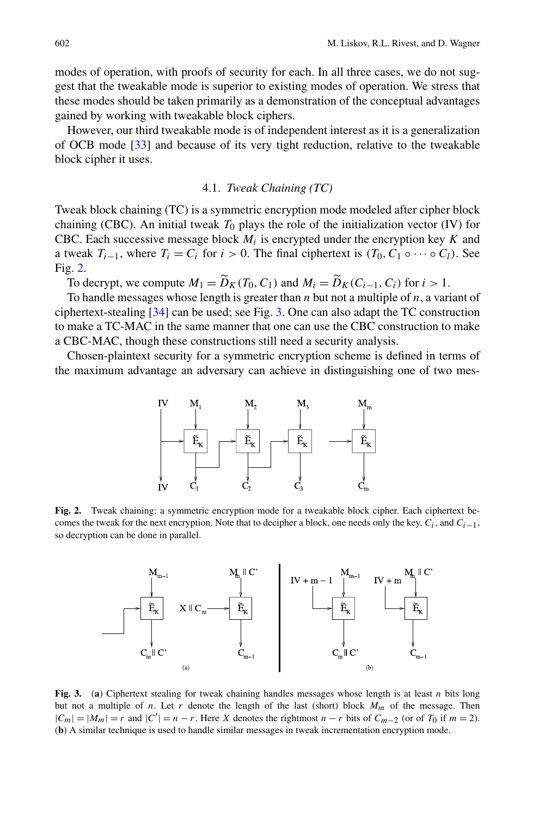modes of operation, with proofs of security for each. In all three cases, we do not suggest that the tweakable mode is superior to existing modes of operation. We stress that these modes should be taken primarily as a demonstration of the conceptual advantages gained by working with tweakable block ciphers.

However, our third tweakable mode is of independent interest as it is a generalization of OCB mode [[33\]](#page-25-0) and because of its very tight reduction, relative to the tweakable block cipher it uses.

#### 4.1. *Tweak Chaining (TC)*

Tweak block chaining (TC) is a symmetric encryption mode modeled after cipher block chaining (CBC). An initial tweak  $T_0$  plays the role of the initialization vector (IV) for CBC. Each successive message block  $M_i$  is encrypted under the encryption key  $K$  and a tweak  $T_{i-1}$ , where  $T_i = C_i$  for  $i > 0$ . The final ciphertext is  $(T_0, C_1 \circ \cdots \circ C_l)$ . See Fig. [2](#page-14-0).

To decrypt, we compute  $M_1 = D_K(T_0, C_1)$  and  $M_i = D_K(C_{i-1}, C_i)$  for  $i > 1$ .<br>To handle messages whose length is greater than *n* but not a multiple of *n*, a variable

To handle messages whose length is greater than *n* but not a multiple of *n*, a variant of ciphertext-stealing [[34\]](#page-25-3) can be used; see Fig. [3](#page-14-1). One can also adapt the TC construction to make a TC-MAC in the same manner that one can use the CBC construction to make a CBC-MAC, though these constructions still need a security analysis.

<span id="page-14-0"></span>Chosen-plaintext security for a symmetric encryption scheme is defined in terms of the maximum advantage an adversary can achieve in distinguishing one of two mes-



**Fig. 2.** Tweak chaining: a symmetric encryption mode for a tweakable block cipher. Each ciphertext becomes the tweak for the next encryption. Note that to decipher a block, one needs only the key,  $C_i$ , and  $C_{i-1}$ , so decryption can be done in parallel.



<span id="page-14-1"></span>**Fig. 3.** (**a**) Ciphertext stealing for tweak chaining handles messages whose length is at least *n* bits long but not a multiple of *n*. Let *r* denote the length of the last (short) block *Mm* of the message. Then  $|C_m| = |M_m| = r$  and  $|C'| = n - r$ . Here *X* denotes the rightmost *n* − *r* bits of  $C_{m-2}$  (or of  $T_0$  if  $m = 2$ ). (**b**) A similar technique is used to handle similar messages in tweak incrementation encryption mode.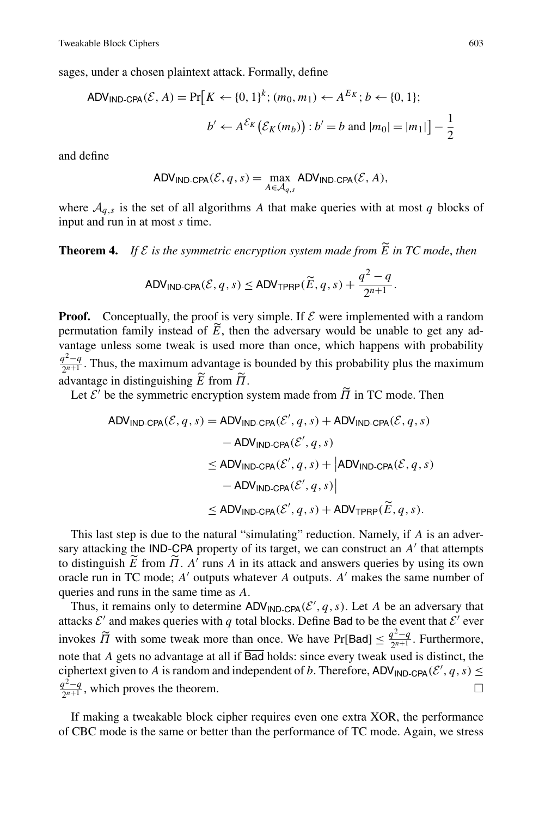sages, under a chosen plaintext attack. Formally, define

$$
ADV_{\mathsf{IND}\text{-}\mathsf{CPA}}(\mathcal{E}, A) = \Pr[K \leftarrow \{0, 1\}^k; (m_0, m_1) \leftarrow A^{E_K}; b \leftarrow \{0, 1\};
$$
\n
$$
b' \leftarrow A^{\mathcal{E}_K}(\mathcal{E}_K(m_b)) : b' = b \text{ and } |m_0| = |m_1| \big] - \frac{1}{2}
$$

<span id="page-15-0"></span>and define

$$
ADV_{\mathsf{IND}\text{-}\mathsf{CPA}}(\mathcal{E}, q, s) = \max_{A \in \mathcal{A}_{q, s}} \mathsf{ADV}_{\mathsf{IND}\text{-}\mathsf{CPA}}(\mathcal{E}, A),
$$

where  $A_{q,s}$  is the set of all algorithms A that make queries with at most q blocks of input and run in at most *s* time.

**Theorem 4.** *If* E *is the symmetric encryption system made from E* - *in TC mode*, *then*

$$
\mathsf{ADV}_{\mathsf{IND}\text{-}\mathsf{CPA}}(\mathcal{E}, q, s) \le \mathsf{ADV}_{\mathsf{TPRP}}(\widetilde{E}, q, s) + \frac{q^2 - q}{2^{n+1}}.
$$

**Proof.** Conceptually, the proof is very simple. If  $\mathcal{E}$  were implemented with a random permutation family instead of *E* , then the adversary would be unable to get any advantage unless some tweak is used more than once, which happens with probability  $\frac{q^2-q}{2^{n+1}}$ . Thus, the maximum advantage is bounded by this probability plus the maximum advantage in distinguishing *E* from *Π*.<br>Let  $S'$  be the symmetric encryption is

Let  $\mathcal{E}'$  be the symmetric encryption system made from  $\tilde{\Pi}$  in TC mode. Then

$$
\begin{aligned} \text{ADV}_{\text{IND-CPA}}(\mathcal{E}, q, s) &= \text{ADV}_{\text{IND-CPA}}(\mathcal{E}', q, s) + \text{ADV}_{\text{IND-CPA}}(\mathcal{E}, q, s) \\ &- \text{ADV}_{\text{IND-CPA}}(\mathcal{E}', q, s) \\ &\leq \text{ADV}_{\text{IND-CPA}}(\mathcal{E}', q, s) + |\text{ADV}_{\text{IND-CPA}}(\mathcal{E}, q, s) \\ &- \text{ADV}_{\text{IND-CPA}}(\mathcal{E}', q, s)| \\ &\leq \text{ADV}_{\text{IND-CPA}}(\mathcal{E}', q, s) + \text{ADV}_{\text{TPRP}}(\widetilde{E}, q, s). \end{aligned}
$$

This last step is due to the natural "simulating" reduction. Namely, if *A* is an adversary attacking the IND-CPA property of its target, we can construct an  $A'$  that attempts to distinguish  $\widetilde{E}$  from  $\widetilde{H}$ . *A'* runs *A* in its attack and answers queries by using its own<br>orgale run in TC mode: *A'* outputs whatever *A* outputs *A'* makes the same number of oracle run in TC mode; *A'* outputs whatever *A* outputs. *A'* makes the same number of queries and runs in the same time as *A*.

Thus, it remains only to determine  $ADV_{IND\ CPA}(\mathcal{E}', q, s)$ . Let *A* be an adversary that attacks  $\mathcal{E}'$  and makes queries with  $q$  total blocks. Define Bad to be the event that  $\mathcal{E}'$  ever invokes  $\widetilde{H}$  with some tweak more than once. We have Pr[Bad]  $\leq \frac{q^2-q}{2^{n+1}}$ . Furthermore, note that *A* gets no advantage at all if Bad holds: since every tweak used is distinct, the ciphertext given to *A* is random and independent of *b*. Therefore, ADV<sub>IND-CPA</sub>( $\mathcal{E}', q, s$ )  $\leq$  $\frac{q^2-q}{2^{n+1}}$ , which proves the theorem.  $\Box$ 

If making a tweakable block cipher requires even one extra XOR, the performance of CBC mode is the same or better than the performance of TC mode. Again, we stress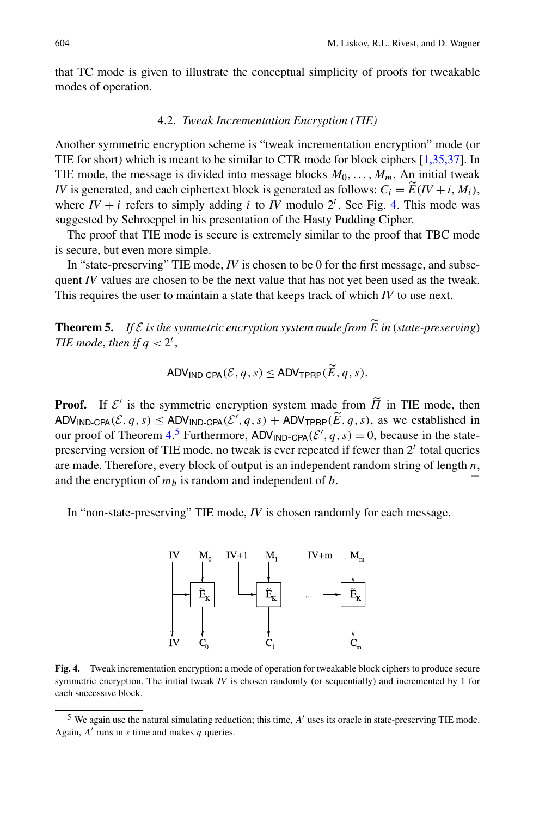that TC mode is given to illustrate the conceptual simplicity of proofs for tweakable modes of operation.

# 4.2. *Tweak Incrementation Encryption (TIE)*

Another symmetric encryption scheme is "tweak incrementation encryption" mode (or TIE for short) which is meant to be similar to CTR mode for block ciphers [\[1](#page-23-9),[35,](#page-25-1)[37](#page-25-4)]. In TIE mode, the message is divided into message blocks  $M_0, \ldots, M_m$ . An initial tweak *IV* is generated, and each ciphertext block is generated as follows:  $C_i = E(IV + i, M_i)$ , where  $IV + i$  refers to simply adding *i* to  $IV$  modulo  $2^i$ . See Fig. 4. This mode was where  $IV + i$  refers to simply adding *i* to *IV* modulo  $2^t$ . See Fig. [4.](#page-16-0) This mode was suggested by Schroeppel in his presentation of the Hasty Pudding Cipher.

<span id="page-16-2"></span>The proof that TIE mode is secure is extremely similar to the proof that TBC mode is secure, but even more simple.

In "state-preserving" TIE mode, *IV* is chosen to be 0 for the first message, and subsequent *IV* values are chosen to be the next value that has not yet been used as the tweak. This requires the user to maintain a state that keeps track of which *IV* to use next.

**Theorem 5.** If  $\mathcal{E}$  is the symmetric encryption system made from  $E$  in (state-preserving)<br>*TIF* mode than if  $a \leq 2^t$ *TIE* mode, then if  $q < 2^t$ ,

$$
ADV_{\mathsf{IND}\text{-}\mathsf{CPA}}(\mathcal{E}, q, s) \le \mathsf{ADV}_{\mathsf{TPRP}}(\mathcal{E}, q, s).
$$

**Proof.** If  $\mathcal{E}'$  is the symmetric encryption system made from  $\tilde{H}$  in TIE mode, then  $ADV_{IND-CPA}(\mathcal{E}, q, s) \le ADV_{IND-CPA}(\mathcal{E}', q, s) + ADV_{TPRP}(\widetilde{E}, q, s)$ , as we established in our proof of Theorem [4](#page-15-0).<sup>[5](#page-16-1)</sup> Furthermore,  $ADV_{IND-CPA}(\mathcal{E}', q, s) = 0$ , because in the statepreserving version of TIE mode, no tweak is ever repeated if fewer than 2*<sup>t</sup>* total queries are made. Therefore, every block of output is an independent random string of length *n*, and the encryption of  $m_b$  is random and independent of *b*.

<span id="page-16-0"></span>In "non-state-preserving" TIE mode, *IV* is chosen randomly for each message.



<span id="page-16-1"></span>**Fig. 4.** Tweak incrementation encryption: a mode of operation for tweakable block ciphers to produce secure symmetric encryption. The initial tweak *IV* is chosen randomly (or sequentially) and incremented by 1 for each successive block.

<sup>5</sup> We again use the natural simulating reduction; this time, *A* uses its oracle in state-preserving TIE mode. Again, *A* runs in *s* time and makes *q* queries.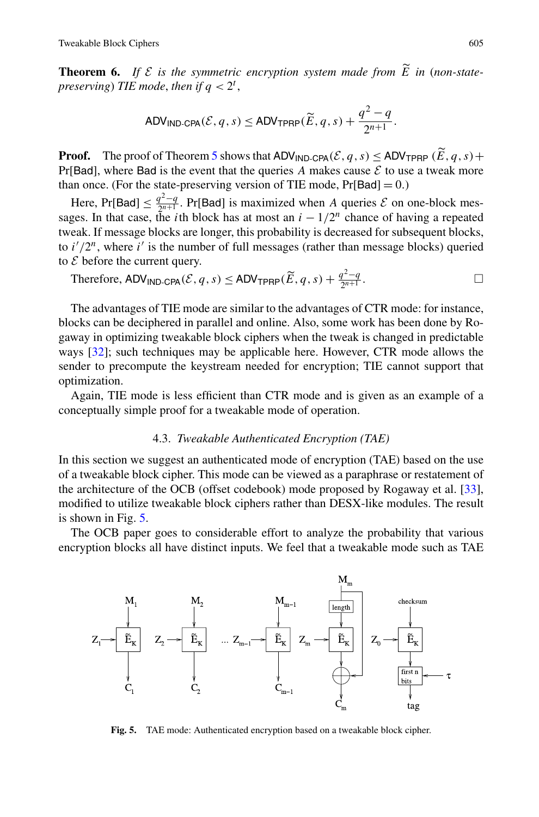**Theorem 6.** *If* E *is the symmetric encryption system made from E in* (*non-statepreserving*) *TIE* mode, then if  $q < 2^t$ ,

$$
\mathsf{ADV}_{\mathsf{IND}\text{-}\mathsf{CPA}}(\mathcal{E}, q, s) \le \mathsf{ADV}_{\mathsf{TPRP}}(\widetilde{E}, q, s) + \frac{q^2 - q}{2^{n+1}}.
$$

**Proof.** The proof of Theorem [5](#page-16-2) shows that ADV<sub>IND-CPA</sub> $(\mathcal{E}, q, s) \le$  ADV<sub>TPRP</sub>  $(E, q, s)$  +  $\text{Pr}[\text{Rad}]$ , where Bad is the event that the queries A makes cause  $\mathcal{E}$  to use a tweak more Pr[Bad], where Bad is the event that the queries A makes cause  $\mathcal E$  to use a tweak more than once. (For the state-preserving version of TIE mode,  $Pr[Bad] = 0$ .)

Here, Pr[Bad]  $\leq \frac{q^2-q}{2^{n+1}}$ . Pr[Bad] is maximized when *A* queries  $\mathcal E$  on one-block messages. In that case, the *i*th block has at most an  $i - 1/2^n$  chance of having a repeated tweak. If message blocks are longer, this probability is decreased for subsequent blocks, to  $i'/2^n$ , where  $i'$  is the number of full messages (rather than message blocks) queried to  $\mathcal E$  before the current query.

Therefore, ADV<sub>IND-CPA</sub>
$$
(\mathcal{E}, q, s) \le ADV_{TPRP}(\widetilde{E}, q, s) + \frac{q^2-q}{2^{n+1}}
$$
.

The advantages of TIE mode are similar to the advantages of CTR mode: for instance, blocks can be deciphered in parallel and online. Also, some work has been done by Rogaway in optimizing tweakable block ciphers when the tweak is changed in predictable ways [[32\]](#page-24-12); such techniques may be applicable here. However, CTR mode allows the sender to precompute the keystream needed for encryption; TIE cannot support that optimization.

Again, TIE mode is less efficient than CTR mode and is given as an example of a conceptually simple proof for a tweakable mode of operation.

## 4.3. *Tweakable Authenticated Encryption (TAE)*

In this section we suggest an authenticated mode of encryption (TAE) based on the use of a tweakable block cipher. This mode can be viewed as a paraphrase or restatement of the architecture of the OCB (offset codebook) mode proposed by Rogaway et al. [[33\]](#page-25-0), modified to utilize tweakable block ciphers rather than DESX-like modules. The result is shown in Fig. [5.](#page-17-0)

The OCB paper goes to considerable effort to analyze the probability that various encryption blocks all have distinct inputs. We feel that a tweakable mode such as TAE

<span id="page-17-0"></span>

**Fig. 5.** TAE mode: Authenticated encryption based on a tweakable block cipher.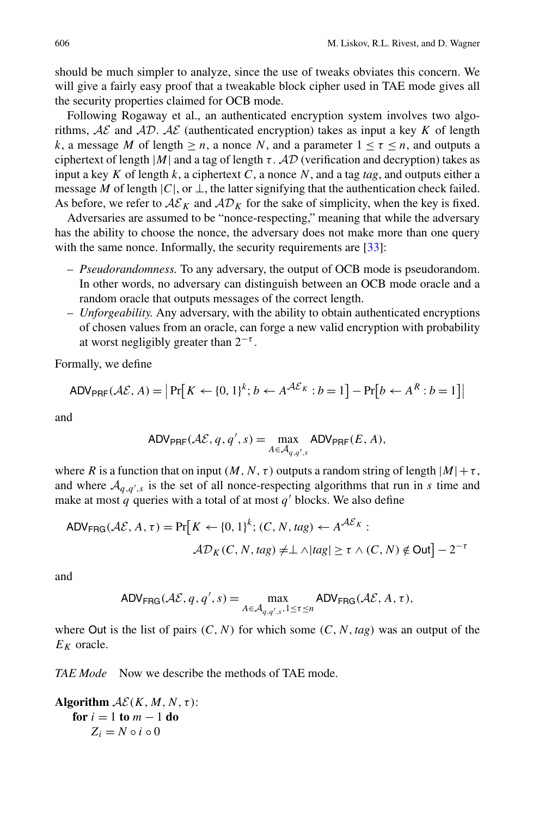should be much simpler to analyze, since the use of tweaks obviates this concern. We will give a fairly easy proof that a tweakable block cipher used in TAE mode gives all the security properties claimed for OCB mode.

Following Rogaway et al., an authenticated encryption system involves two algorithms,  $AE$  and  $AD$ .  $AE$  (authenticated encryption) takes as input a key  $K$  of length *k*, a message *M* of length  $\geq n$ , a nonce *N*, and a parameter  $1 \leq \tau \leq n$ , and outputs a ciphertext of length |*M*| and a tag of length *τ* . AD (verification and decryption) takes as input a key *K* of length *k*, a ciphertext *C*, a nonce *N*, and a tag *tag*, and outputs either a message *M* of length  $|C|$ , or  $\perp$ , the latter signifying that the authentication check failed. As before, we refer to  $A\mathcal{E}_K$  and  $A\mathcal{D}_K$  for the sake of simplicity, when the key is fixed.

Adversaries are assumed to be "nonce-respecting," meaning that while the adversary has the ability to choose the nonce, the adversary does not make more than one query with the same nonce. Informally, the security requirements are [[33\]](#page-25-0):

- *Pseudorandomness.* To any adversary, the output of OCB mode is pseudorandom. In other words, no adversary can distinguish between an OCB mode oracle and a random oracle that outputs messages of the correct length.
- *Unforgeability.* Any adversary, with the ability to obtain authenticated encryptions of chosen values from an oracle, can forge a new valid encryption with probability at worst negligibly greater than 2−*<sup>τ</sup>* .

Formally, we define

$$
ADV_{\mathsf{PRF}}(\mathcal{AE}, A) = \left| \Pr[K \leftarrow \{0, 1\}^k; b \leftarrow A^{\mathcal{AE}_K} : b = 1 \right] - \Pr[b \leftarrow A^R : b = 1 \right] \right|
$$

and

$$
\mathsf{ADV}_{\mathsf{PRF}}(\mathcal{AE}, q, q', s) = \max_{A \in \mathcal{A}_{q,q',s}} \mathsf{ADV}_{\mathsf{PRF}}(E, A),
$$

where *R* is a function that on input  $(M, N, \tau)$  outputs a random string of length  $|M| + \tau$ , and where  $A_{q,q',s}$  is the set of all nonce-respecting algorithms that run in *s* time and make at most  $q$  queries with a total of at most  $q'$  blocks. We also define

$$
ADV_{\text{FRG}}(\mathcal{AE}, A, \tau) = \Pr[K \leftarrow \{0, 1\}^k; (C, N, tag) \leftarrow A^{\mathcal{AE}_K} :
$$

$$
\mathcal{AD}_K(C, N, tag) \neq \bot \land |tag| \geq \tau \land (C, N) \notin \text{Out} \{-2^{-\tau} \}
$$

and

$$
ADV_{\mathsf{FRG}}(\mathcal{AE}, q, q', s) = \max_{A \in \mathcal{A}_{q,q',s}, 1 \leq \tau \leq n} \mathsf{ADV}_{\mathsf{FRG}}(\mathcal{AE}, A, \tau),
$$

where Out is the list of pairs  $(C, N)$  for which some  $(C, N, tag)$  was an output of the  $E_K$  oracle.

*TAE Mode* Now we describe the methods of TAE mode.

**Algorithm**  $\mathcal{AE}(K, M, N, \tau)$ : **for**  $i = 1$  **to**  $m - 1$  **do**  $Z_i = N \circ i \circ 0$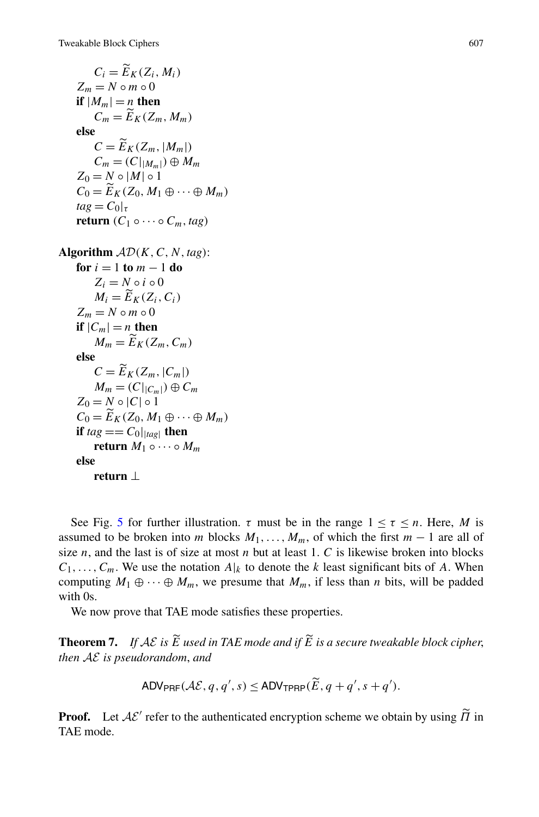$$
C_i = E_K(Z_i, M_i)
$$
  
\n
$$
Z_m = N \circ m \circ 0
$$
  
\nif  $|M_m| = n$  then  
\n
$$
C_m = \widetilde{E}_K(Z_m, M_m)
$$
  
\nelse  
\n
$$
C = \widetilde{E}_K(Z_m, |M_m|)
$$
  
\n
$$
C_m = (C|_{|M_m|}) \oplus M_m
$$
  
\n
$$
Z_0 = N \circ |M| \circ 1
$$
  
\n
$$
C_0 = \widetilde{E}_K(Z_0, M_1 \oplus \cdots \oplus M_m)
$$
  
\n
$$
tag = C_0|_{\tau}
$$
  
\nreturn  $(C_1 \circ \cdots \circ C_m, tag)$ 

**Algorithm**  $AD(K, C, N, tag)$ : **for**  $i = 1$  **to**  $m - 1$  **do**  $Z_i = N \circ i \circ 0$  $M_i = E_K(Z_i, C_i)$  $Z_m = N \circ m \circ 0$ **if**  $|C_m| = n$  **then**  $M_m = E_K(Z_m, C_m)$ **else**  $C = E_K(Z_m, |C_m|)$  $M_m = (C|_{|C_m|}) \oplus C_m$  $Z_0 = N \circ |C| \circ 1$  $C_0 = E_K(Z_0, M_1 \oplus \cdots \oplus M_m)$  $\mathbf{F} = C_0 \mathbf{F} + C_1 \mathbf{F}$ <br>**if**  $tag = C_0|_{tag}$  then **return**  $M_1 \circ \cdots \circ M_m$ **else return** ⊥

See Fig. [5](#page-17-0) for further illustration. *τ* must be in the range  $1 \le \tau \le n$ . Here, *M* is assumed to be broken into *m* blocks  $M_1, \ldots, M_m$ , of which the first  $m - 1$  are all of size *n*, and the last is of size at most *n* but at least 1. *C* is likewise broken into blocks  $C_1, \ldots, C_m$ . We use the notation  $A|_k$  to denote the *k* least significant bits of *A*. When computing  $M_1 \oplus \cdots \oplus M_m$ , we presume that  $M_m$ , if less than *n* bits, will be padded with 0s.

We now prove that TAE mode satisfies these properties.

**Theorem 7.** If AE is E used in TAE mode and if E is a secure tweakable block cipher,<br>than AS is neaudarandom, and -*then* AE *is pseudorandom*, *and*

$$
\mathsf{ADV}_{\mathsf{PRF}}(\mathcal{AE}, q, q', s) \le \mathsf{ADV}_{\mathsf{TPRP}}(\widetilde{E}, q + q', s + q').
$$

**Proof.** Let  $AE'$  refer to the authenticated encryption scheme we obtain by using  $\widetilde{H}$  in TAE mode.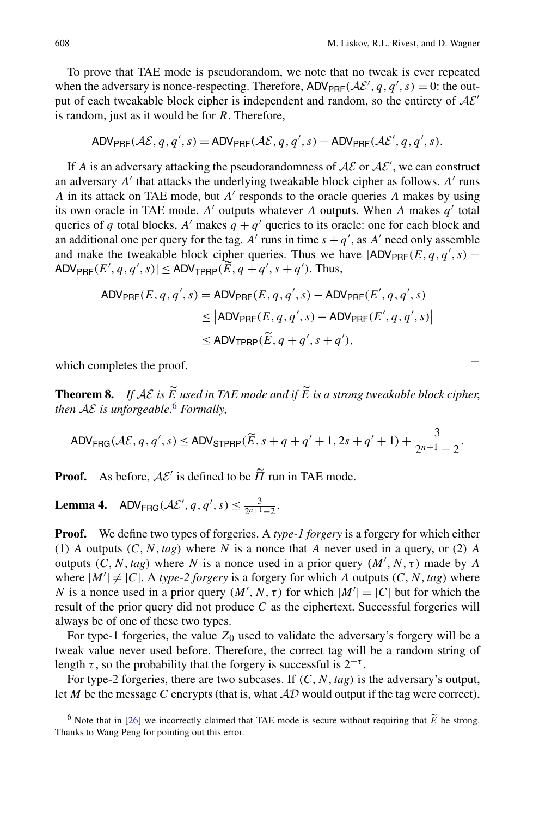To prove that TAE mode is pseudorandom, we note that no tweak is ever repeated when the adversary is nonce-respecting. Therefore,  $ADV_{PRF}(A\mathcal{E}', q, q', s) = 0$ : the output of each tweakable block cipher is independent and random, so the entirety of  $AE'$ is random, just as it would be for *R*. Therefore,

$$
\mathsf{ADV}_{\mathsf{PRF}}(\mathcal{AE}, q, q', s) = \mathsf{ADV}_{\mathsf{PRF}}(\mathcal{AE}, q, q', s) - \mathsf{ADV}_{\mathsf{PRF}}(\mathcal{AE}', q, q', s).
$$

If *A* is an adversary attacking the pseudorandomness of  $AE$  or  $AE'$ , we can construct an adversary *A'* that attacks the underlying tweakable block cipher as follows. *A'* runs *A* in its attack on TAE mode, but *A* responds to the oracle queries *A* makes by using its own oracle in TAE mode.  $A'$  outputs whatever  $A$  outputs. When  $A$  makes  $q'$  total queries of *q* total blocks, *A'* makes  $q + q'$  queries to its oracle: one for each block and an additional one per query for the tag.  $A'$  runs in time  $s + q'$ , as  $A'$  need only assemble and make the tweakable block cipher queries. Thus we have  $|ADV_{PRF}(E,q,q',s) |\textsf{ADV}_{\textsf{PRF}}(E', q, q', s)| \leq \textsf{ADV}_{\textsf{TPRP}}(\widetilde{E}, q + q', s + q').$  Thus,

<span id="page-20-1"></span>
$$
\begin{aligned} \mathsf{ADV}_{\mathsf{PRF}}(E, q, q', s) &= \mathsf{ADV}_{\mathsf{PRF}}(E, q, q', s) - \mathsf{ADV}_{\mathsf{PRF}}(E', q, q', s) \\ &\leq \left| \mathsf{ADV}_{\mathsf{PRF}}(E, q, q', s) - \mathsf{ADV}_{\mathsf{PRF}}(E', q, q', s) \right| \\ &\leq \mathsf{ADV}_{\mathsf{PRP}}(\widetilde{E}, q + q', s + q'), \end{aligned}
$$

which completes the proof.

**Theorem 8.** If  $AE$  is  $E$  used in TAE mode and if  $E$  is a strong tweakable block cipher, then AS is unforgaable  $^6$  Formally [-](#page-20-0)*then* AE *is unforgeable*. <sup>6</sup> *Formally*,

$$
\mathsf{ADV}_{\mathsf{FRG}}(\mathcal{AE}, q, q', s) \le \mathsf{ADV}_{\mathsf{STPRP}}(\widetilde{E}, s + q + q' + 1, 2s + q' + 1) + \frac{3}{2^{n+1} - 2}.
$$

**Proof.** As before,  $AE'$  is defined to be  $\widetilde{H}$  run in TAE mode.

**Lemma 4.** 
$$
\textsf{ADV}_{\textsf{FRG}}(\mathcal{AE}', q, q', s) \leq \frac{3}{2^{n+1}-2}
$$
.

**Proof.** We define two types of forgeries. A *type-1 forgery* is a forgery for which either (1) *A* outputs  $(C, N, tag)$  where *N* is a nonce that *A* never used in a query, or (2) *A* outputs  $(C, N, tag)$  where *N* is a nonce used in a prior query  $(M', N, \tau)$  made by *A* where  $|M'| \neq |C|$ . A *type-2 forgery* is a forgery for which *A* outputs  $(C, N, tag)$  where *N* is a nonce used in a prior query  $(M', N, \tau)$  for which  $|M'| = |C|$  but for which the result of the prior query did not produce *C* as the ciphertext. Successful forgeries will always be of one of these two types.

<span id="page-20-0"></span>For type-1 forgeries, the value  $Z_0$  used to validate the adversary's forgery will be a tweak value never used before. Therefore, the correct tag will be a random string of length  $\tau$ , so the probability that the forgery is successful is  $2^{-\tau}$ .

For type-2 forgeries, there are two subcases. If *(C,N,tag)* is the adversary's output, let  $M$  be the message  $C$  encrypts (that is, what  $AD$  would output if the tag were correct),

$$
\sqcup
$$

<sup>&</sup>lt;sup>6</sup> Note that in [[26\]](#page-24-8) we incorrectly claimed that TAE mode is secure without requiring that  $\tilde{E}$  be strong. Thanks to Wang Peng for pointing out this error.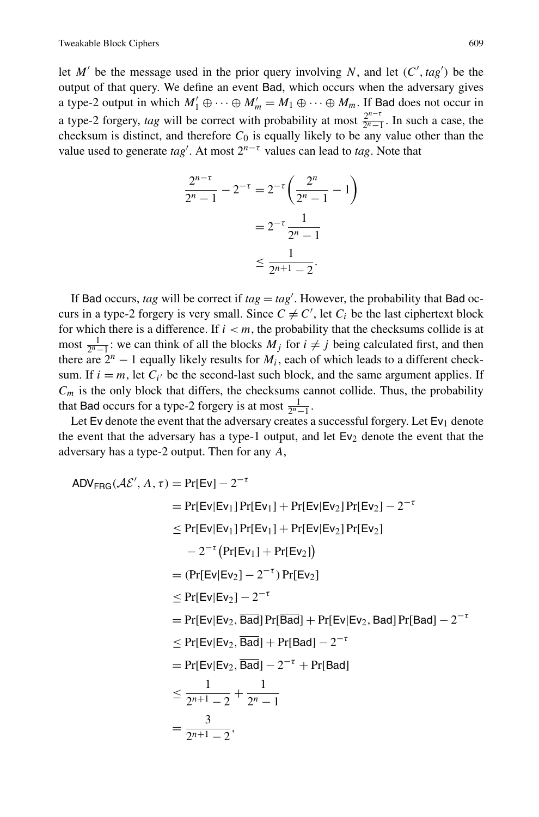let  $M'$  be the message used in the prior query involving N, and let  $(C', tag')$  be the output of that query. We define an event Bad, which occurs when the adversary gives a type-2 output in which  $M'_1 \oplus \cdots \oplus M'_m = M_1 \oplus \cdots \oplus M_m$ . If Bad does not occur in a type-2 forgery, *tag* will be correct with probability at most  $\frac{2^{n-\tau}}{2^n-1}$ . In such a case, the checksum is distinct, and therefore  $C_0$  is equally likely to be any value other than the value used to generate  $tag'$ . At most  $2^{n-\tau}$  values can lead to *tag*. Note that

$$
\frac{2^{n-\tau}}{2^n - 1} - 2^{-\tau} = 2^{-\tau} \left( \frac{2^n}{2^n - 1} - 1 \right)
$$

$$
= 2^{-\tau} \frac{1}{2^n - 1}
$$

$$
\leq \frac{1}{2^{n+1} - 2}.
$$

If Bad occurs, *tag* will be correct if  $tag = tag'$ . However, the probability that Bad occurs in a type-2 forgery is very small. Since  $C \neq C'$ , let  $C_i$  be the last ciphertext block for which there is a difference. If  $i < m$ , the probability that the checksums collide is at most  $\frac{1}{2^n-1}$ : we can think of all the blocks  $M_j$  for  $i \neq j$  being calculated first, and then there are  $2^n - 1$  equally likely results for  $M_i$ , each of which leads to a different checksum. If  $i = m$ , let  $C_{i'}$  be the second-last such block, and the same argument applies. If  $C_m$  is the only block that differs, the checksums cannot collide. Thus, the probability that Bad occurs for a type-2 forgery is at most  $\frac{1}{2^n-1}$ .

Let Ev denote the event that the adversary creates a successful forgery. Let  $Ev_1$  denote the event that the adversary has a type-1 output, and let  $Ev<sub>2</sub>$  denote the event that the adversary has a type-2 output. Then for any *A*,

$$
ADV_{FRG}(\mathcal{AE}', A, \tau) = Pr[Ev] - 2^{-\tau}
$$
  
= Pr[Ev|Ev<sub>1</sub>] Pr[Ev<sub>1</sub>] + Pr[Ev|Ev<sub>2</sub>] Pr[Ev<sub>2</sub>] - 2<sup>-\tau</sup>  

$$
\leq Pr[Ev|Ev_{1}] Pr[Ev_{1}] + Pr[Ev|Ev_{2}] Pr[Ev_{2}]
$$

$$
- 2^{-\tau} (Pr[Ev_{1}] + Pr[Ev_{2}])
$$

$$
= (Pr[Ev|Ev_{2}] - 2^{-\tau}) Pr[Ev_{2}]
$$

$$
\leq Pr[Ev|Ev_{2}] - 2^{-\tau}
$$

$$
= Pr[Ev|Ev_{2}, \overline{Bad}] Pr[\overline{Bad}] + Pr[Ev|Ev_{2}, \overline{Bad}] Pr[\overline{Bad}] - 2^{-\tau}
$$

$$
\leq Pr[Ev|Ev_{2}, \overline{Bad}] - 2^{-\tau} + Pr[\overline{Bad}]
$$

$$
\leq \frac{1}{2^{n+1} - 2} + \frac{1}{2^{n} - 1}
$$

$$
= \frac{3}{2^{n+1} - 2},
$$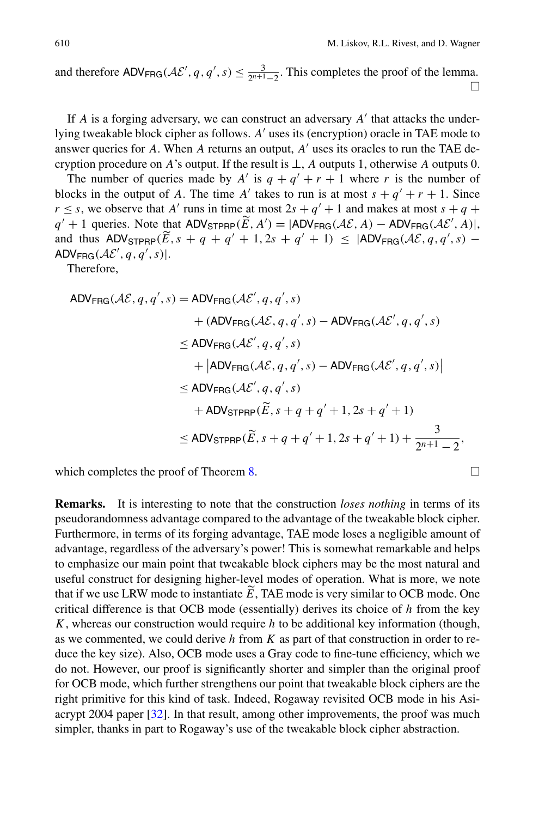and therefore  $ADV_{FRG}(\mathcal{AE}', q, q', s) \leq \frac{3}{2^{n+1}-2}$ . This completes the proof of the lemma.  $\Box$ 

If  $A$  is a forging adversary, we can construct an adversary  $A'$  that attacks the underlying tweakable block cipher as follows. *A'* uses its (encryption) oracle in TAE mode to answer queries for *A*. When *A* returns an output, *A'* uses its oracles to run the TAE decryption procedure on *A*'s output. If the result is ⊥, *A* outputs 1, otherwise *A* outputs 0.

The number of queries made by *A'* is  $q + q' + r + 1$  where *r* is the number of blocks in the output of *A*. The time *A'* takes to run is at most  $s + q' + r + 1$ . Since  $r \leq s$ , we observe that *A'* runs in time at most  $2s + q' + 1$  and makes at most  $s + q +$  $q' + 1$  queries. Note that  $ADVSTPRP(\widetilde{E}, A') = |ADVFRG(\mathcal{AE}, A) - ADVFRG(\mathcal{AE}', A)|$ ,<br>and thus  $ADVSTPRP(\widetilde{E}, s + g' + 1, 2s + g' + 1) \le |ADVSTP| \le (AS, g, g' + g')$ and thus  $ADV_{STPRP}(\widetilde{E}, s + q + q' + 1, 2s + q' + 1) \le |ADV_{FRG}(\mathcal{AE}, q, q', s) -$ <br> $ADV_{TLS}(\mathcal{AE}', q, q', s)|$  $\mathsf{ADV}_{\mathsf{FRG}}(\mathcal{AE}', q, q', s)|.$ 

Therefore,

$$
ADV_{\mathsf{FRG}}(\mathcal{AE}, q, q', s) = \mathsf{ADV}_{\mathsf{FRG}}(\mathcal{AE}', q, q', s)
$$
  
+ 
$$
(\mathsf{ADV}_{\mathsf{FRG}}(\mathcal{AE}', q, q', s) - \mathsf{ADV}_{\mathsf{FRG}}(\mathcal{AE}', q, q', s)
$$
  

$$
\leq \mathsf{ADV}_{\mathsf{FRG}}(\mathcal{AE}', q, q', s)
$$
  
+ 
$$
|\mathsf{ADV}_{\mathsf{FRG}}(\mathcal{AE}', q, q', s) - \mathsf{ADV}_{\mathsf{FRG}}(\mathcal{AE}', q, q', s)|
$$
  

$$
\leq \mathsf{ADV}_{\mathsf{FRG}}(\mathcal{AE}', q, q', s)
$$
  
+ 
$$
\mathsf{ADV}_{\mathsf{STPRP}}(\widetilde{E}, s + q + q' + 1, 2s + q' + 1) + \frac{3}{2^{n+1} - 2},
$$

which completes the proof of Theorem [8.](#page-20-1)

**Remarks.** It is interesting to note that the construction *loses nothing* in terms of its pseudorandomness advantage compared to the advantage of the tweakable block cipher. Furthermore, in terms of its forging advantage, TAE mode loses a negligible amount of advantage, regardless of the adversary's power! This is somewhat remarkable and helps to emphasize our main point that tweakable block ciphers may be the most natural and useful construct for designing higher-level modes of operation. What is more, we note that if we use LRW mode to instantiate *E* , TAE mode is very similar to OCB mode. One -critical difference is that OCB mode (essentially) derives its choice of *h* from the key *K*, whereas our construction would require *h* to be additional key information (though, as we commented, we could derive *h* from *K* as part of that construction in order to reduce the key size). Also, OCB mode uses a Gray code to fine-tune efficiency, which we do not. However, our proof is significantly shorter and simpler than the original proof for OCB mode, which further strengthens our point that tweakable block ciphers are the right primitive for this kind of task. Indeed, Rogaway revisited OCB mode in his Asiacrypt 2004 paper [\[32](#page-24-12)]. In that result, among other improvements, the proof was much simpler, thanks in part to Rogaway's use of the tweakable block cipher abstraction.

$$
\Box
$$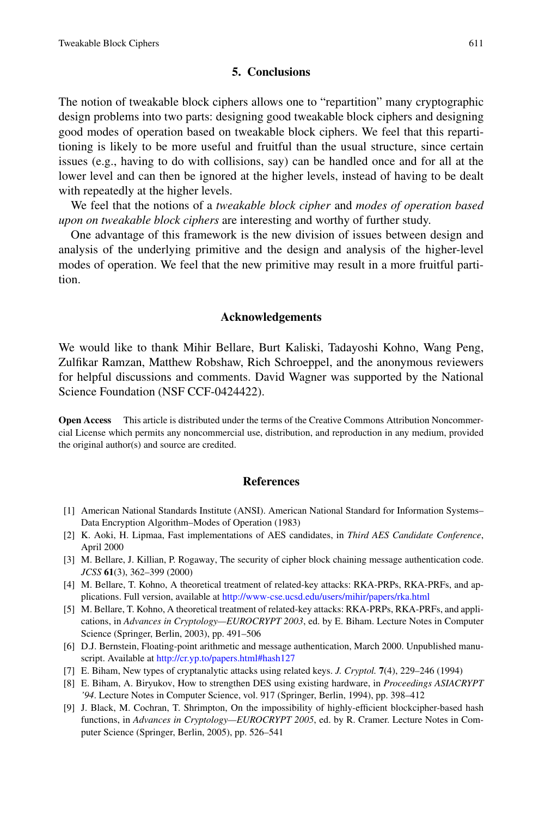## **5. Conclusions**

<span id="page-23-3"></span>The notion of tweakable block ciphers allows one to "repartition" many cryptographic design problems into two parts: designing good tweakable block ciphers and designing good modes of operation based on tweakable block ciphers. We feel that this repartitioning is likely to be more useful and fruitful than the usual structure, since certain issues (e.g., having to do with collisions, say) can be handled once and for all at the lower level and can then be ignored at the higher levels, instead of having to be dealt with repeatedly at the higher levels.

We feel that the notions of a *tweakable block cipher* and *modes of operation based upon on tweakable block ciphers* are interesting and worthy of further study.

One advantage of this framework is the new division of issues between design and analysis of the underlying primitive and the design and analysis of the higher-level modes of operation. We feel that the new primitive may result in a more fruitful partition.

#### **Acknowledgements**

We would like to thank Mihir Bellare, Burt Kaliski, Tadayoshi Kohno, Wang Peng, Zulfikar Ramzan, Matthew Robshaw, Rich Schroeppel, and the anonymous reviewers for helpful discussions and comments. David Wagner was supported by the National Science Foundation (NSF CCF-0424422).

<span id="page-23-9"></span><span id="page-23-8"></span><span id="page-23-6"></span>**Open Access** This article is distributed under the terms of the Creative Commons Attribution Noncommercial License which permits any noncommercial use, distribution, and reproduction in any medium, provided the original author(s) and source are credited.

#### **References**

- <span id="page-23-5"></span><span id="page-23-1"></span>[1] American National Standards Institute (ANSI). American National Standard for Information Systems– Data Encryption Algorithm–Modes of Operation (1983)
- <span id="page-23-7"></span>[2] K. Aoki, H. Lipmaa, Fast implementations of AES candidates, in *Third AES Candidate Conference*, April 2000
- <span id="page-23-4"></span><span id="page-23-0"></span>[3] M. Bellare, J. Killian, P. Rogaway, The security of cipher block chaining message authentication code. *JCSS* **61**(3), 362–399 (2000)
- <span id="page-23-2"></span>[4] M. Bellare, T. Kohno, A theoretical treatment of related-key attacks: RKA-PRPs, RKA-PRFs, and applications. Full version, available at <http://www-cse.ucsd.edu/users/mihir/papers/rka.html>
- [5] M. Bellare, T. Kohno, A theoretical treatment of related-key attacks: RKA-PRPs, RKA-PRFs, and applications, in *Advances in Cryptology—EUROCRYPT 2003*, ed. by E. Biham. Lecture Notes in Computer Science (Springer, Berlin, 2003), pp. 491–506
- [6] D.J. Bernstein, Floating-point arithmetic and message authentication, March 2000. Unpublished manuscript. Available at <http://cr.yp.to/papers.html#hash127>
- [7] E. Biham, New types of cryptanalytic attacks using related keys. *J. Cryptol.* **7**(4), 229–246 (1994)
- [8] E. Biham, A. Biryukov, How to strengthen DES using existing hardware, in *Proceedings ASIACRYPT '94*. Lecture Notes in Computer Science, vol. 917 (Springer, Berlin, 1994), pp. 398–412
- [9] J. Black, M. Cochran, T. Shrimpton, On the impossibility of highly-efficient blockcipher-based hash functions, in *Advances in Cryptology—EUROCRYPT 2005*, ed. by R. Cramer. Lecture Notes in Computer Science (Springer, Berlin, 2005), pp. 526–541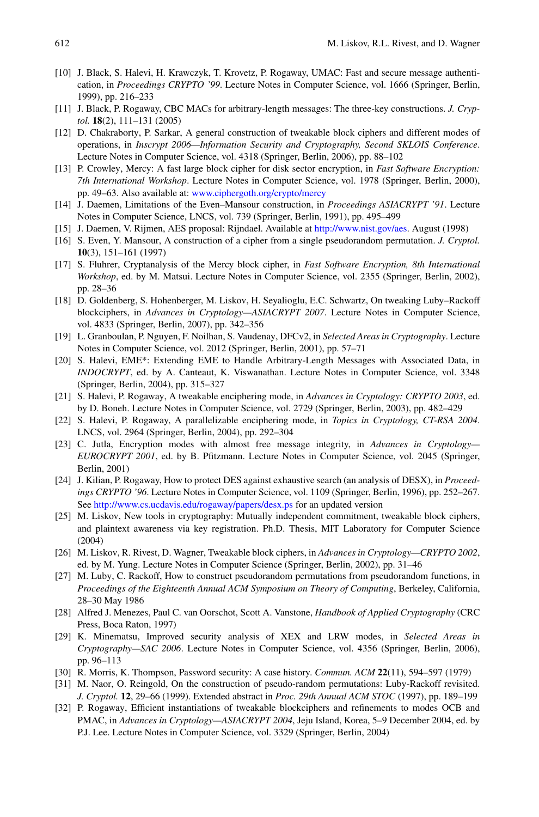- <span id="page-24-21"></span><span id="page-24-16"></span><span id="page-24-13"></span><span id="page-24-1"></span>[10] J. Black, S. Halevi, H. Krawczyk, T. Krovetz, P. Rogaway, UMAC: Fast and secure message authentication, in *Proceedings CRYPTO '99*. Lecture Notes in Computer Science, vol. 1666 (Springer, Berlin, 1999), pp. 216–233
- <span id="page-24-18"></span><span id="page-24-5"></span>[11] J. Black, P. Rogaway, CBC MACs for arbitrary-length messages: The three-key constructions. *J. Cryptol.* **18**(2), 111–131 (2005)
- <span id="page-24-4"></span>[12] D. Chakraborty, P. Sarkar, A general construction of tweakable block ciphers and different modes of operations, in *Inscrypt 2006—Information Security and Cryptography, Second SKLOIS Conference*. Lecture Notes in Computer Science, vol. 4318 (Springer, Berlin, 2006), pp. 88–102
- <span id="page-24-2"></span>[13] P. Crowley, Mercy: A fast large block cipher for disk sector encryption, in *Fast Software Encryption: 7th International Workshop*. Lecture Notes in Computer Science, vol. 1978 (Springer, Berlin, 2000), pp. 49–63. Also available at: [www.ciphergoth.org/crypto/mercy](http://www.ciphergoth.org/crypto/mercy)
- <span id="page-24-15"></span>[14] J. Daemen, Limitations of the Even–Mansour construction, in *Proceedings ASIACRYPT '91*. Lecture Notes in Computer Science, LNCS, vol. 739 (Springer, Berlin, 1991), pp. 495–499
- <span id="page-24-17"></span>[15] J. Daemen, V. Rijmen, AES proposal: Rijndael. Available at <http://www.nist.gov/aes>. August (1998)
- <span id="page-24-10"></span>[16] S. Even, Y. Mansour, A construction of a cipher from a single pseudorandom permutation. *J. Cryptol.* **10**(3), 151–161 (1997)
- [17] S. Fluhrer, Cryptanalysis of the Mercy block cipher, in *Fast Software Encryption, 8th International Workshop*, ed. by M. Matsui. Lecture Notes in Computer Science, vol. 2355 (Springer, Berlin, 2002), pp. 28–36
- <span id="page-24-11"></span>[18] D. Goldenberg, S. Hohenberger, M. Liskov, H. Seyalioglu, E.C. Schwartz, On tweaking Luby–Rackoff blockciphers, in *Advances in Cryptology—ASIACRYPT 2007*. Lecture Notes in Computer Science, vol. 4833 (Springer, Berlin, 2007), pp. 342–356
- <span id="page-24-6"></span>[19] L. Granboulan, P. Nguyen, F. Noilhan, S. Vaudenay, DFCv2, in *Selected Areas in Cryptography*. Lecture Notes in Computer Science, vol. 2012 (Springer, Berlin, 2001), pp. 57–71
- <span id="page-24-3"></span>[20] S. Halevi, EME\*: Extending EME to Handle Arbitrary-Length Messages with Associated Data, in *INDOCRYPT*, ed. by A. Canteaut, K. Viswanathan. Lecture Notes in Computer Science, vol. 3348 (Springer, Berlin, 2004), pp. 315–327
- <span id="page-24-9"></span>[21] S. Halevi, P. Rogaway, A tweakable enciphering mode, in *Advances in Cryptology: CRYPTO 2003*, ed. by D. Boneh. Lecture Notes in Computer Science, vol. 2729 (Springer, Berlin, 2003), pp. 482–429
- [22] S. Halevi, P. Rogaway, A parallelizable enciphering mode, in *Topics in Cryptology, CT-RSA 2004*. LNCS, vol. 2964 (Springer, Berlin, 2004), pp. 292–304
- <span id="page-24-8"></span>[23] C. Jutla, Encryption modes with almost free message integrity, in *Advances in Cryptology— EUROCRYPT 2001*, ed. by B. Pfitzmann. Lecture Notes in Computer Science, vol. 2045 (Springer, Berlin, 2001)
- <span id="page-24-19"></span>[24] J. Kilian, P. Rogaway, How to protect DES against exhaustive search (an analysis of DESX), in *Proceedings CRYPTO '96*. Lecture Notes in Computer Science, vol. 1109 (Springer, Berlin, 1996), pp. 252–267. See <http://www.cs.ucdavis.edu/rogaway/papers/desx.ps> for an updated version
- <span id="page-24-14"></span><span id="page-24-0"></span>[25] M. Liskov, New tools in cryptography: Mutually independent commitment, tweakable block ciphers, and plaintext awareness via key registration. Ph.D. Thesis, MIT Laboratory for Computer Science (2004)
- <span id="page-24-7"></span>[26] M. Liskov, R. Rivest, D. Wagner, Tweakable block ciphers, in *Advances in Cryptology—CRYPTO 2002*, ed. by M. Yung. Lecture Notes in Computer Science (Springer, Berlin, 2002), pp. 31–46
- <span id="page-24-20"></span>[27] M. Luby, C. Rackoff, How to construct pseudorandom permutations from pseudorandom functions, in *Proceedings of the Eighteenth Annual ACM Symposium on Theory of Computing*, Berkeley, California, 28–30 May 1986
- <span id="page-24-12"></span>[28] Alfred J. Menezes, Paul C. van Oorschot, Scott A. Vanstone, *Handbook of Applied Cryptography* (CRC Press, Boca Raton, 1997)
- [29] K. Minematsu, Improved security analysis of XEX and LRW modes, in *Selected Areas in Cryptography—SAC 2006*. Lecture Notes in Computer Science, vol. 4356 (Springer, Berlin, 2006), pp. 96–113
- [30] R. Morris, K. Thompson, Password security: A case history. *Commun. ACM* **22**(11), 594–597 (1979)
- [31] M. Naor, O. Reingold, On the construction of pseudo-random permutations: Luby-Rackoff revisited. *J. Cryptol.* **12**, 29–66 (1999). Extended abstract in *Proc. 29th Annual ACM STOC* (1997), pp. 189–199
- [32] P. Rogaway, Efficient instantiations of tweakable blockciphers and refinements to modes OCB and PMAC, in *Advances in Cryptology—ASIACRYPT 2004*, Jeju Island, Korea, 5–9 December 2004, ed. by P.J. Lee. Lecture Notes in Computer Science, vol. 3329 (Springer, Berlin, 2004)